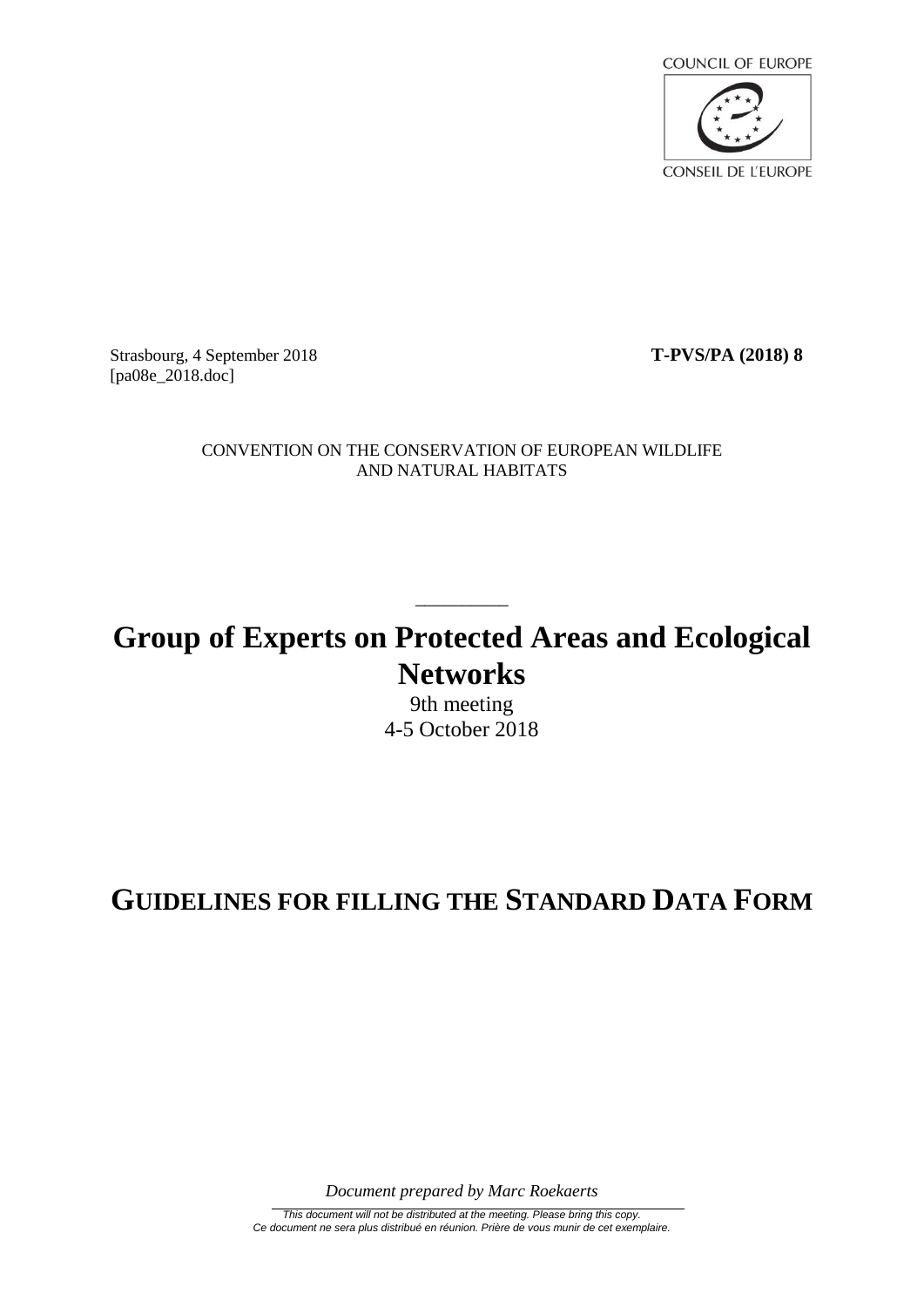

Strasbourg, 4 September 2018 **T-PVS/PA (2018) 8** [pa08e\_2018.doc]

CONVENTION ON THE CONSERVATION OF EUROPEAN WILDLIFE AND NATURAL HABITATS

# **Group of Experts on Protected Areas and Ecological Networks**

 $\overline{\phantom{a}}$  , where  $\overline{\phantom{a}}$ 

9th meeting 4-5 October 2018

# **GUIDELINES FOR FILLING THE STANDARD DATA FORM**

*Document prepared by Marc Roekaerts*

*This document will not be distributed at the meeting. Please bring this copy. Ce document ne sera plus distribué en réunion. Prière de vous munir de cet exemplaire.*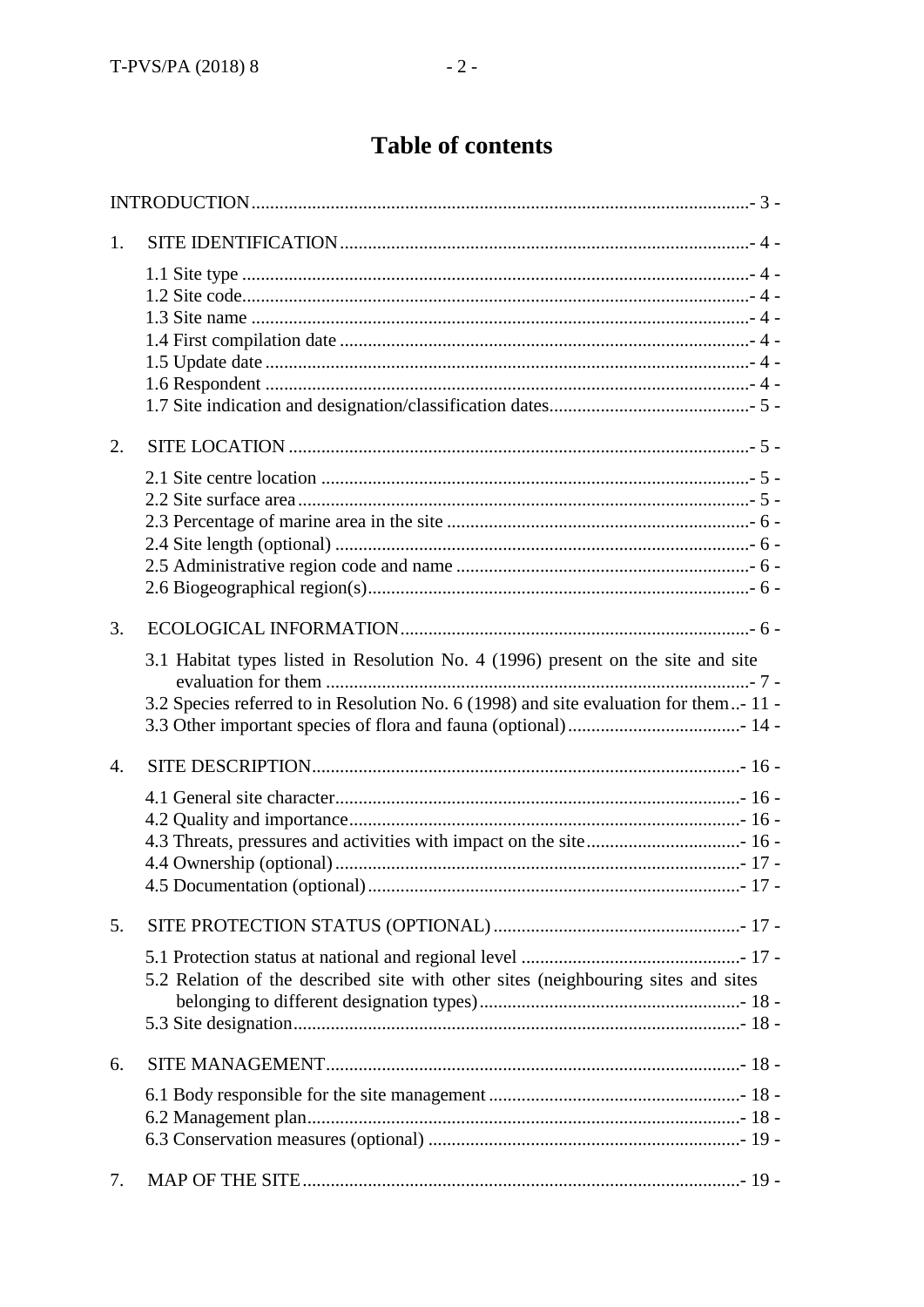# **Table of contents**

| 1.               |                                                                                      |
|------------------|--------------------------------------------------------------------------------------|
|                  |                                                                                      |
|                  |                                                                                      |
|                  |                                                                                      |
|                  |                                                                                      |
|                  |                                                                                      |
|                  |                                                                                      |
|                  |                                                                                      |
| 2.               |                                                                                      |
|                  |                                                                                      |
|                  |                                                                                      |
|                  |                                                                                      |
|                  |                                                                                      |
|                  |                                                                                      |
|                  |                                                                                      |
| 3.               |                                                                                      |
|                  | 3.1 Habitat types listed in Resolution No. 4 (1996) present on the site and site     |
|                  |                                                                                      |
|                  | 3.2 Species referred to in Resolution No. 6 (1998) and site evaluation for them-11 - |
|                  |                                                                                      |
| $\overline{4}$ . |                                                                                      |
|                  |                                                                                      |
|                  |                                                                                      |
|                  |                                                                                      |
|                  |                                                                                      |
|                  |                                                                                      |
| 5.               |                                                                                      |
|                  |                                                                                      |
|                  | 5.2 Relation of the described site with other sites (neighbouring sites and sites    |
|                  |                                                                                      |
|                  |                                                                                      |
| 6.               |                                                                                      |
|                  |                                                                                      |
|                  |                                                                                      |
|                  |                                                                                      |
|                  |                                                                                      |
| 7.               |                                                                                      |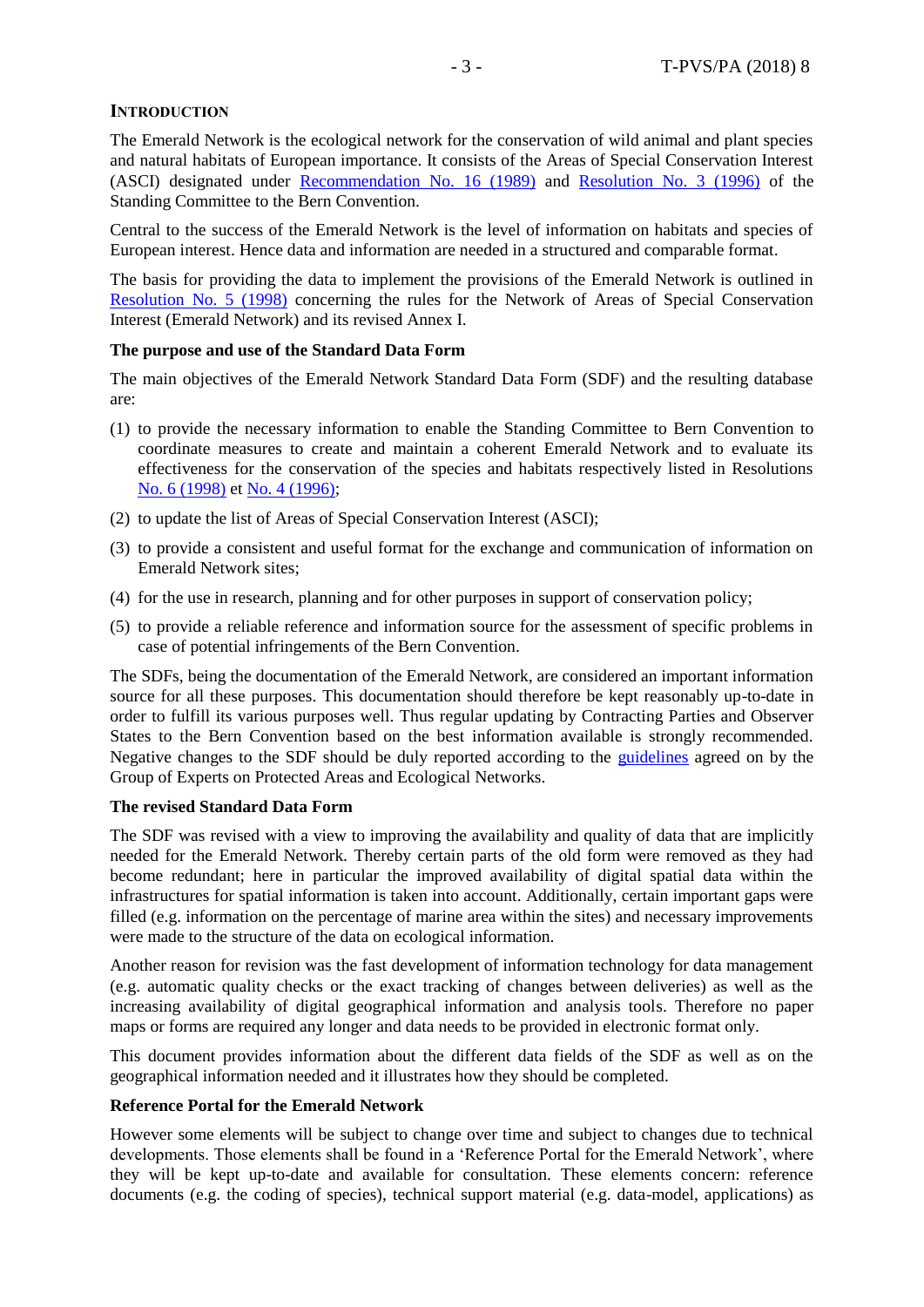## <span id="page-2-0"></span>**INTRODUCTION**

The Emerald Network is the ecological network for the conservation of wild animal and plant species and natural habitats of European importance. It consists of the Areas of Special Conservation Interest (ASCI) designated under [Recommendation No. 16 \(1989\)](https://search.coe.int/bern-convention/Pages/result_details.aspx?ObjectId=0900001680746c25) and [Resolution No. 3 \(1996\)](https://search.coe.int/bern-convention/Pages/result_details.aspx?ObjectId=09000016807467d3) of the Standing Committee to the Bern Convention.

Central to the success of the Emerald Network is the level of information on habitats and species of European interest. Hence data and information are needed in a structured and comparable format.

The basis for providing the data to implement the provisions of the Emerald Network is outlined in [Resolution No. 5 \(1998\)](https://rm.coe.int/1680746bfa) concerning the rules for the Network of Areas of Special Conservation Interest (Emerald Network) and its revised Annex I.

#### **The purpose and use of the Standard Data Form**

The main objectives of the Emerald Network Standard Data Form (SDF) and the resulting database are:

- (1) to provide the necessary information to enable the Standing Committee to Bern Convention to coordinate measures to create and maintain a coherent Emerald Network and to evaluate its effectiveness for the conservation of the species and habitats respectively listed in Resolutions [No. 6 \(1998\)](https://rm.coe.int/1680746afc) et [No. 4 \(1996\);](https://rm.coe.int/16807469e7)
- (2) to update the list of Areas of Special Conservation Interest (ASCI);
- (3) to provide a consistent and useful format for the exchange and communication of information on Emerald Network sites;
- (4) for the use in research, planning and for other purposes in support of conservation policy;
- (5) to provide a reliable reference and information source for the assessment of specific problems in case of potential infringements of the Bern Convention.

The SDFs, being the documentation of the Emerald Network, are considered an important information source for all these purposes. This documentation should therefore be kept reasonably up-to-date in order to fulfill its various purposes well. Thus regular updating by Contracting Parties and Observer States to the Bern Convention based on the best information available is strongly recommended. Negative changes to the SDF should be duly reported according to the [guidelines](https://rm.coe.int/guidelines-for-explaining-negative-changes-in-emerald-network-proposed/168073f68c) agreed on by the Group of Experts on Protected Areas and Ecological Networks.

# **The revised Standard Data Form**

The SDF was revised with a view to improving the availability and quality of data that are implicitly needed for the Emerald Network. Thereby certain parts of the old form were removed as they had become redundant; here in particular the improved availability of digital spatial data within the infrastructures for spatial information is taken into account. Additionally, certain important gaps were filled (e.g. information on the percentage of marine area within the sites) and necessary improvements were made to the structure of the data on ecological information.

Another reason for revision was the fast development of information technology for data management (e.g. automatic quality checks or the exact tracking of changes between deliveries) as well as the increasing availability of digital geographical information and analysis tools. Therefore no paper maps or forms are required any longer and data needs to be provided in electronic format only.

This document provides information about the different data fields of the SDF as well as on the geographical information needed and it illustrates how they should be completed.

#### **Reference Portal for the Emerald Network**

However some elements will be subject to change over time and subject to changes due to technical developments. Those elements shall be found in a 'Reference Portal for the Emerald Network', where they will be kept up-to-date and available for consultation. These elements concern: reference documents (e.g. the coding of species), technical support material (e.g. data-model, applications) as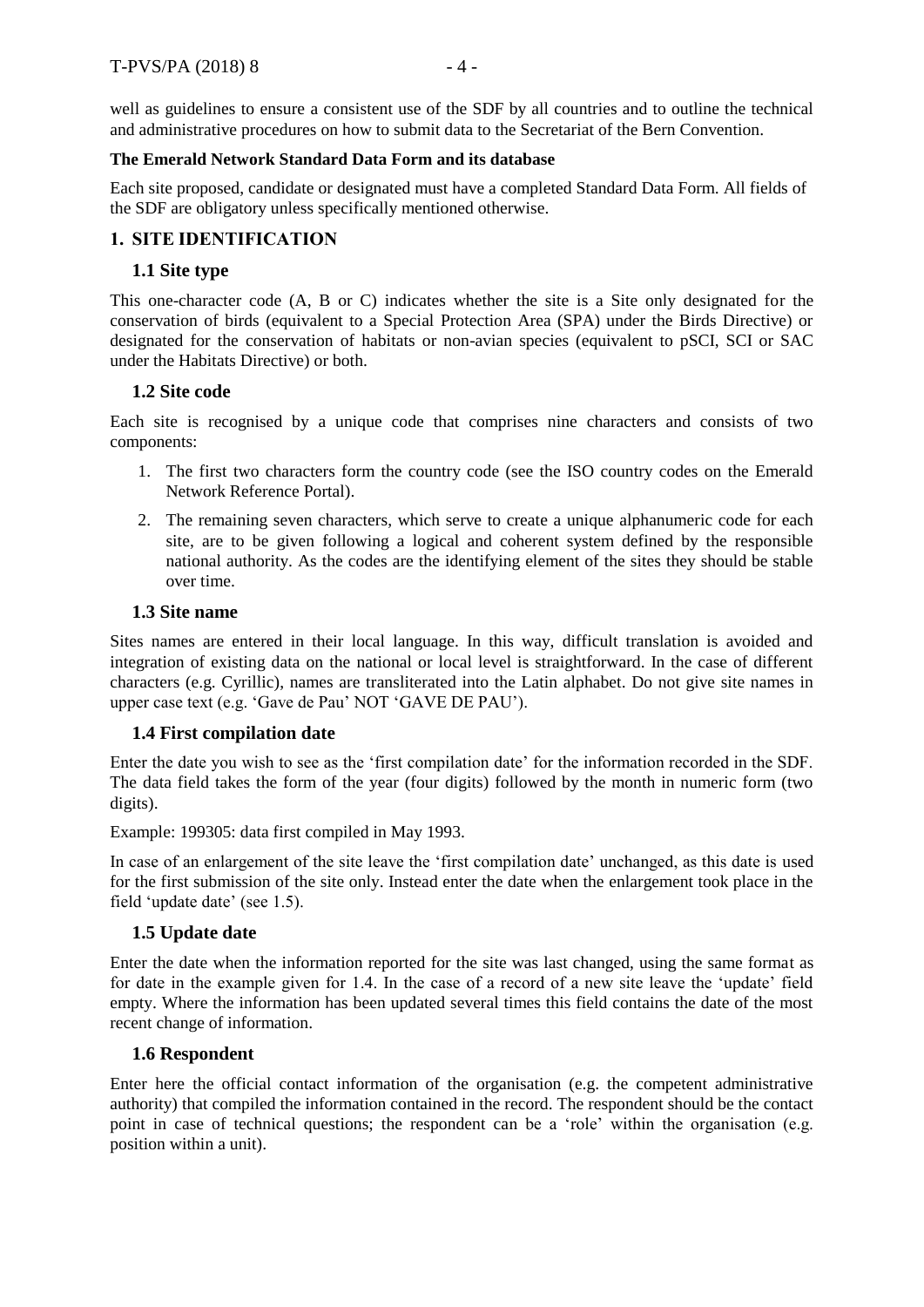well as guidelines to ensure a consistent use of the SDF by all countries and to outline the technical and administrative procedures on how to submit data to the Secretariat of the Bern Convention.

## **The Emerald Network Standard Data Form and its database**

Each site proposed, candidate or designated must have a completed Standard Data Form. All fields of the SDF are obligatory unless specifically mentioned otherwise.

# <span id="page-3-0"></span>**1. SITE IDENTIFICATION**

# <span id="page-3-1"></span>**1.1 Site type**

This one-character code (A, B or C) indicates whether the site is a Site only designated for the conservation of birds (equivalent to a Special Protection Area (SPA) under the Birds Directive) or designated for the conservation of habitats or non-avian species (equivalent to pSCI, SCI or SAC under the Habitats Directive) or both.

# <span id="page-3-2"></span>**1.2 Site code**

Each site is recognised by a unique code that comprises nine characters and consists of two components:

- 1. The first two characters form the country code (see the ISO country codes on the Emerald Network Reference Portal).
- 2. The remaining seven characters, which serve to create a unique alphanumeric code for each site, are to be given following a logical and coherent system defined by the responsible national authority. As the codes are the identifying element of the sites they should be stable over time.

# <span id="page-3-3"></span>**1.3 Site name**

Sites names are entered in their local language. In this way, difficult translation is avoided and integration of existing data on the national or local level is straightforward. In the case of different characters (e.g. Cyrillic), names are transliterated into the Latin alphabet. Do not give site names in upper case text (e.g. 'Gave de Pau' NOT 'GAVE DE PAU').

# <span id="page-3-4"></span>**1.4 First compilation date**

Enter the date you wish to see as the 'first compilation date' for the information recorded in the SDF. The data field takes the form of the year (four digits) followed by the month in numeric form (two digits).

Example: 199305: data first compiled in May 1993.

In case of an enlargement of the site leave the 'first compilation date' unchanged, as this date is used for the first submission of the site only. Instead enter the date when the enlargement took place in the field 'update date' (see 1.5).

# <span id="page-3-5"></span>**1.5 Update date**

Enter the date when the information reported for the site was last changed, using the same format as for date in the example given for 1.4. In the case of a record of a new site leave the 'update' field empty. Where the information has been updated several times this field contains the date of the most recent change of information.

# <span id="page-3-6"></span>**1.6 Respondent**

Enter here the official contact information of the organisation (e.g. the competent administrative authority) that compiled the information contained in the record. The respondent should be the contact point in case of technical questions; the respondent can be a 'role' within the organisation (e.g. position within a unit).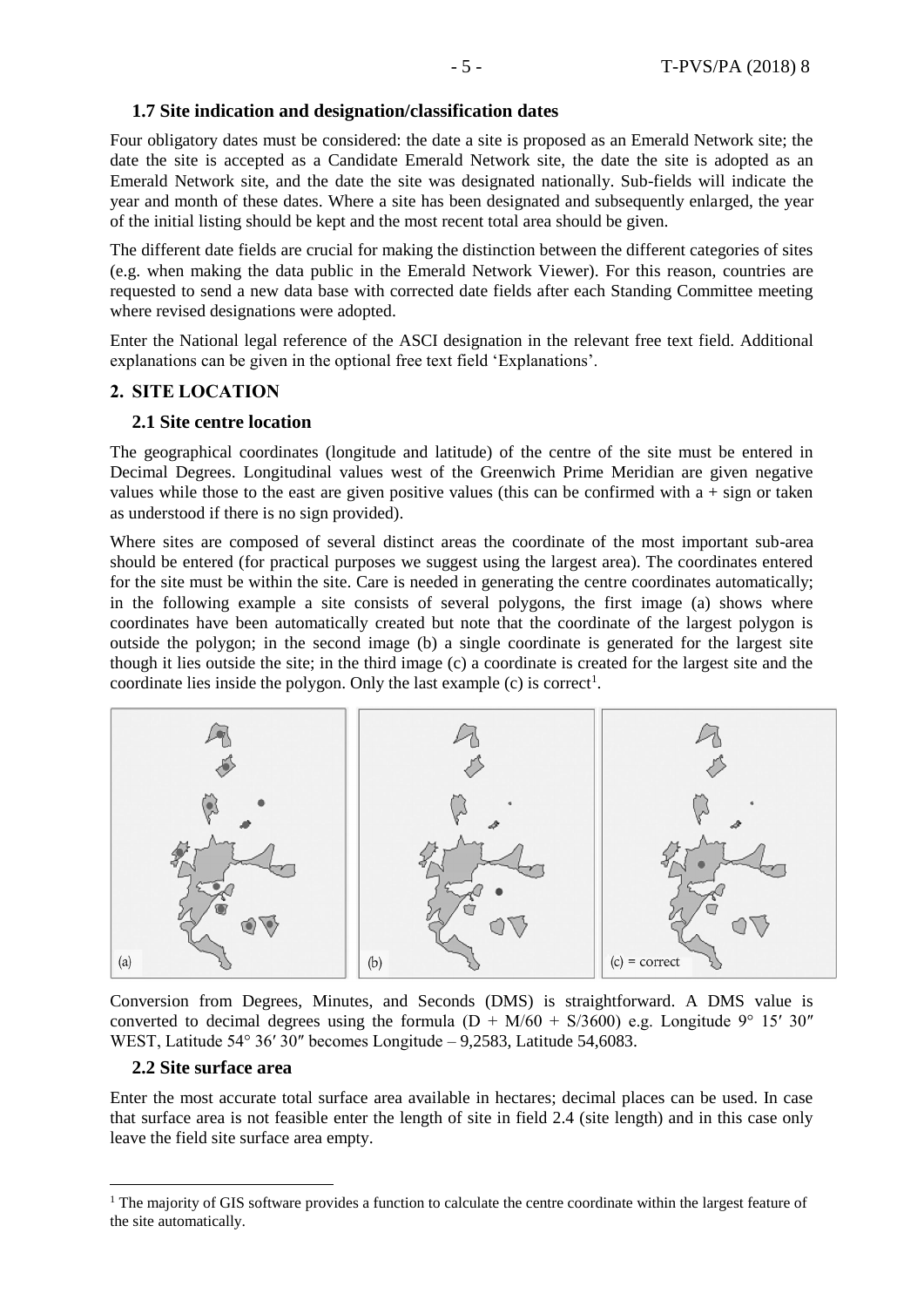### <span id="page-4-0"></span>**1.7 Site indication and designation/classification dates**

Four obligatory dates must be considered: the date a site is proposed as an Emerald Network site; the date the site is accepted as a Candidate Emerald Network site, the date the site is adopted as an Emerald Network site, and the date the site was designated nationally. Sub-fields will indicate the year and month of these dates. Where a site has been designated and subsequently enlarged, the year of the initial listing should be kept and the most recent total area should be given.

The different date fields are crucial for making the distinction between the different categories of sites (e.g. when making the data public in the Emerald Network Viewer). For this reason, countries are requested to send a new data base with corrected date fields after each Standing Committee meeting where revised designations were adopted.

Enter the National legal reference of the ASCI designation in the relevant free text field. Additional explanations can be given in the optional free text field 'Explanations'.

#### <span id="page-4-1"></span>**2. SITE LOCATION**

#### <span id="page-4-2"></span>**2.1 Site centre location**

The geographical coordinates (longitude and latitude) of the centre of the site must be entered in Decimal Degrees. Longitudinal values west of the Greenwich Prime Meridian are given negative values while those to the east are given positive values (this can be confirmed with  $a + sign$  or taken as understood if there is no sign provided).

Where sites are composed of several distinct areas the coordinate of the most important sub-area should be entered (for practical purposes we suggest using the largest area). The coordinates entered for the site must be within the site. Care is needed in generating the centre coordinates automatically; in the following example a site consists of several polygons, the first image (a) shows where coordinates have been automatically created but note that the coordinate of the largest polygon is outside the polygon; in the second image (b) a single coordinate is generated for the largest site though it lies outside the site; in the third image (c) a coordinate is created for the largest site and the coordinate lies inside the polygon. Only the last example  $(c)$  is correct<sup>1</sup>.



Conversion from Degrees, Minutes, and Seconds (DMS) is straightforward. A DMS value is converted to decimal degrees using the formula  $(D + M/60 + S/3600)$  e.g. Longitude 9° 15′ 30″ WEST, Latitude 54° 36′ 30″ becomes Longitude – 9,2583, Latitude 54,6083.

#### <span id="page-4-3"></span>**2.2 Site surface area**

 $\overline{a}$ 

Enter the most accurate total surface area available in hectares; decimal places can be used. In case that surface area is not feasible enter the length of site in field 2.4 (site length) and in this case only leave the field site surface area empty.

<sup>&</sup>lt;sup>1</sup> The majority of GIS software provides a function to calculate the centre coordinate within the largest feature of the site automatically.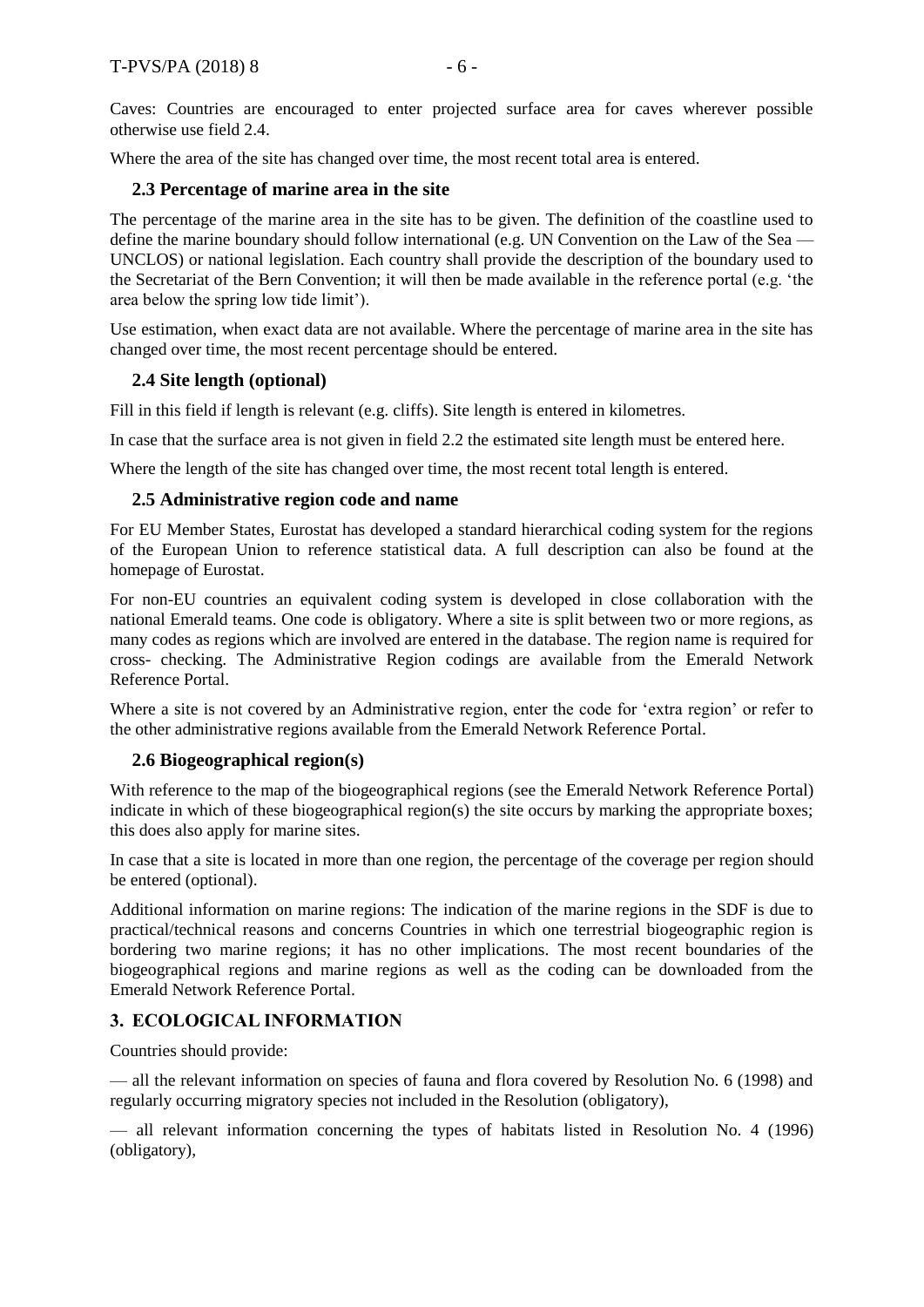Caves: Countries are encouraged to enter projected surface area for caves wherever possible otherwise use field 2.4.

Where the area of the site has changed over time, the most recent total area is entered.

## <span id="page-5-0"></span>**2.3 Percentage of marine area in the site**

The percentage of the marine area in the site has to be given. The definition of the coastline used to define the marine boundary should follow international (e.g. UN Convention on the Law of the Sea — UNCLOS) or national legislation. Each country shall provide the description of the boundary used to the Secretariat of the Bern Convention; it will then be made available in the reference portal (e.g. 'the area below the spring low tide limit').

Use estimation, when exact data are not available. Where the percentage of marine area in the site has changed over time, the most recent percentage should be entered.

## <span id="page-5-1"></span>**2.4 Site length (optional)**

Fill in this field if length is relevant (e.g. cliffs). Site length is entered in kilometres.

In case that the surface area is not given in field 2.2 the estimated site length must be entered here.

Where the length of the site has changed over time, the most recent total length is entered.

## <span id="page-5-2"></span>**2.5 Administrative region code and name**

For EU Member States, Eurostat has developed a standard hierarchical coding system for the regions of the European Union to reference statistical data. A full description can also be found at the homepage of Eurostat.

For non-EU countries an equivalent coding system is developed in close collaboration with the national Emerald teams. One code is obligatory. Where a site is split between two or more regions, as many codes as regions which are involved are entered in the database. The region name is required for cross- checking. The Administrative Region codings are available from the Emerald Network Reference Portal.

Where a site is not covered by an Administrative region, enter the code for 'extra region' or refer to the other administrative regions available from the Emerald Network Reference Portal.

#### <span id="page-5-3"></span>**2.6 Biogeographical region(s)**

With reference to the map of the biogeographical regions (see the Emerald Network Reference Portal) indicate in which of these biogeographical region(s) the site occurs by marking the appropriate boxes; this does also apply for marine sites.

In case that a site is located in more than one region, the percentage of the coverage per region should be entered (optional).

Additional information on marine regions: The indication of the marine regions in the SDF is due to practical/technical reasons and concerns Countries in which one terrestrial biogeographic region is bordering two marine regions; it has no other implications. The most recent boundaries of the biogeographical regions and marine regions as well as the coding can be downloaded from the Emerald Network Reference Portal.

# <span id="page-5-4"></span>**3. ECOLOGICAL INFORMATION**

Countries should provide:

— all the relevant information on species of fauna and flora covered by Resolution No. 6 (1998) and regularly occurring migratory species not included in the Resolution (obligatory),

— all relevant information concerning the types of habitats listed in Resolution No. 4 (1996) (obligatory),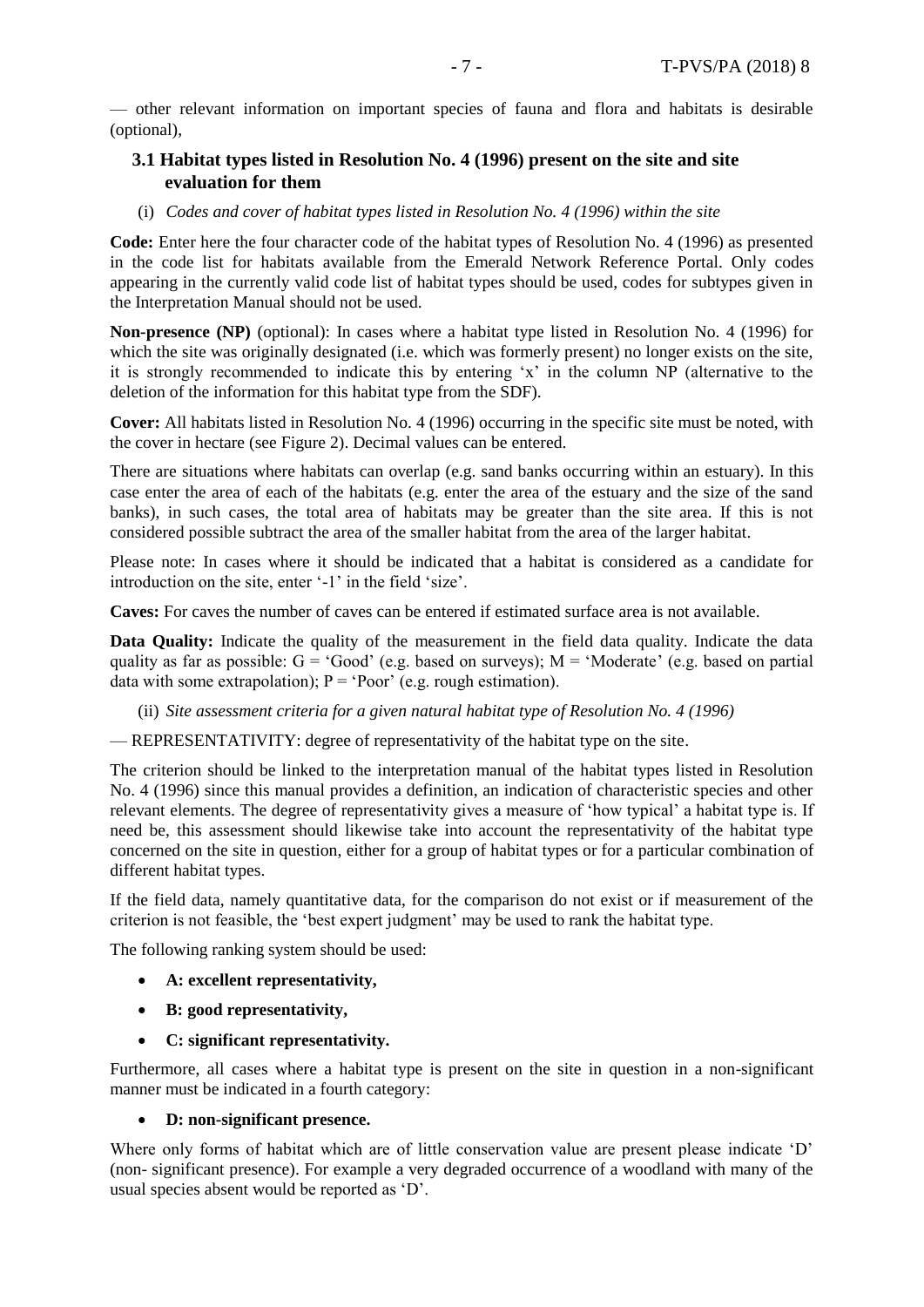— other relevant information on important species of fauna and flora and habitats is desirable (optional),

# <span id="page-6-0"></span>**3.1 Habitat types listed in Resolution No. 4 (1996) present on the site and site evaluation for them**

#### (i) *Codes and cover of habitat types listed in Resolution No. 4 (1996) within the site*

**Code:** Enter here the four character code of the habitat types of Resolution No. 4 (1996) as presented in the code list for habitats available from the Emerald Network Reference Portal. Only codes appearing in the currently valid code list of habitat types should be used, codes for subtypes given in the Interpretation Manual should not be used.

**Non-presence (NP)** (optional): In cases where a habitat type listed in Resolution No. 4 (1996) for which the site was originally designated (i.e. which was formerly present) no longer exists on the site, it is strongly recommended to indicate this by entering 'x' in the column NP (alternative to the deletion of the information for this habitat type from the SDF).

**Cover:** All habitats listed in Resolution No. 4 (1996) occurring in the specific site must be noted, with the cover in hectare (see Figure 2). Decimal values can be entered.

There are situations where habitats can overlap (e.g. sand banks occurring within an estuary). In this case enter the area of each of the habitats (e.g. enter the area of the estuary and the size of the sand banks), in such cases, the total area of habitats may be greater than the site area. If this is not considered possible subtract the area of the smaller habitat from the area of the larger habitat.

Please note: In cases where it should be indicated that a habitat is considered as a candidate for introduction on the site, enter '-1' in the field 'size'.

**Caves:** For caves the number of caves can be entered if estimated surface area is not available.

**Data Quality:** Indicate the quality of the measurement in the field data quality. Indicate the data quality as far as possible:  $G = 'Good'$  (e.g. based on surveys); M = 'Moderate' (e.g. based on partial data with some extrapolation);  $P = 'Poor'$  (e.g. rough estimation).

(ii) *Site assessment criteria for a given natural habitat type of Resolution No. 4 (1996)*

— REPRESENTATIVITY: degree of representativity of the habitat type on the site.

The criterion should be linked to the interpretation manual of the habitat types listed in Resolution No. 4 (1996) since this manual provides a definition, an indication of characteristic species and other relevant elements. The degree of representativity gives a measure of 'how typical' a habitat type is. If need be, this assessment should likewise take into account the representativity of the habitat type concerned on the site in question, either for a group of habitat types or for a particular combination of different habitat types.

If the field data, namely quantitative data, for the comparison do not exist or if measurement of the criterion is not feasible, the 'best expert judgment' may be used to rank the habitat type.

The following ranking system should be used:

- **A: excellent representativity,**
- **B: good representativity,**
- **C: significant representativity.**

Furthermore, all cases where a habitat type is present on the site in question in a non-significant manner must be indicated in a fourth category:

#### **D: non-significant presence.**

Where only forms of habitat which are of little conservation value are present please indicate 'D' (non- significant presence). For example a very degraded occurrence of a woodland with many of the usual species absent would be reported as 'D'.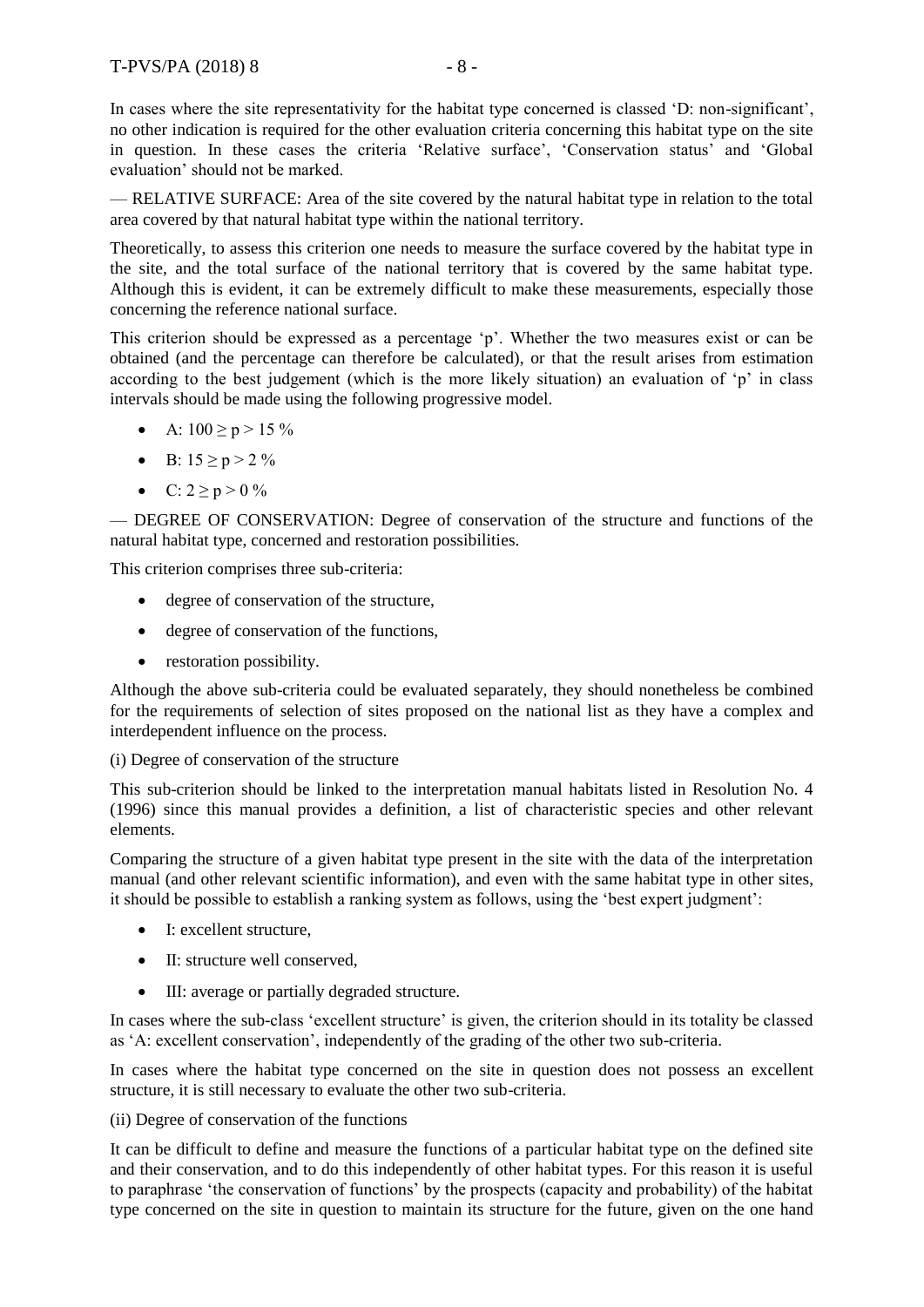— RELATIVE SURFACE: Area of the site covered by the natural habitat type in relation to the total area covered by that natural habitat type within the national territory.

Theoretically, to assess this criterion one needs to measure the surface covered by the habitat type in the site, and the total surface of the national territory that is covered by the same habitat type. Although this is evident, it can be extremely difficult to make these measurements, especially those concerning the reference national surface.

This criterion should be expressed as a percentage 'p'. Whether the two measures exist or can be obtained (and the percentage can therefore be calculated), or that the result arises from estimation according to the best judgement (which is the more likely situation) an evaluation of 'p' in class intervals should be made using the following progressive model.

• A:  $100 \ge p > 15 \%$ 

evaluation' should not be marked.

- $\bullet$  B: 15 \pi p > 2 %
- C:  $2 \ge p > 0$  %

— DEGREE OF CONSERVATION: Degree of conservation of the structure and functions of the natural habitat type, concerned and restoration possibilities.

This criterion comprises three sub-criteria:

- degree of conservation of the structure,
- degree of conservation of the functions,
- restoration possibility.

Although the above sub-criteria could be evaluated separately, they should nonetheless be combined for the requirements of selection of sites proposed on the national list as they have a complex and interdependent influence on the process.

(i) Degree of conservation of the structure

This sub-criterion should be linked to the interpretation manual habitats listed in Resolution No. 4 (1996) since this manual provides a definition, a list of characteristic species and other relevant elements.

Comparing the structure of a given habitat type present in the site with the data of the interpretation manual (and other relevant scientific information), and even with the same habitat type in other sites, it should be possible to establish a ranking system as follows, using the 'best expert judgment':

- I: excellent structure.
- II: structure well conserved,
- III: average or partially degraded structure.

In cases where the sub-class 'excellent structure' is given, the criterion should in its totality be classed as 'A: excellent conservation', independently of the grading of the other two sub-criteria.

In cases where the habitat type concerned on the site in question does not possess an excellent structure, it is still necessary to evaluate the other two sub-criteria.

(ii) Degree of conservation of the functions

It can be difficult to define and measure the functions of a particular habitat type on the defined site and their conservation, and to do this independently of other habitat types. For this reason it is useful to paraphrase 'the conservation of functions' by the prospects (capacity and probability) of the habitat type concerned on the site in question to maintain its structure for the future, given on the one hand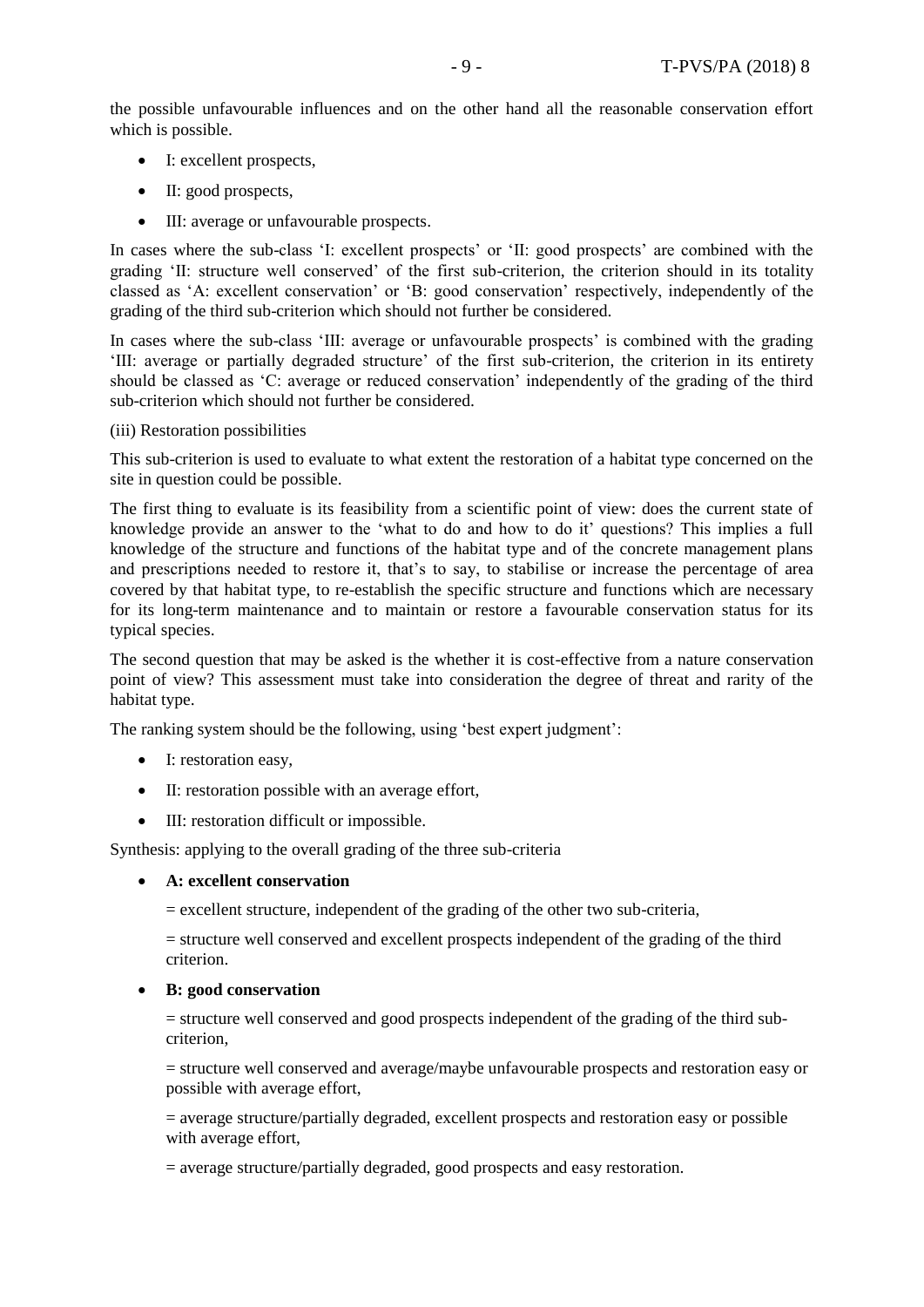the possible unfavourable influences and on the other hand all the reasonable conservation effort which is possible.

- I: excellent prospects,
- II: good prospects,
- III: average or unfavourable prospects.

In cases where the sub-class 'I: excellent prospects' or 'II: good prospects' are combined with the grading 'II: structure well conserved' of the first sub-criterion, the criterion should in its totality classed as 'A: excellent conservation' or 'B: good conservation' respectively, independently of the grading of the third sub-criterion which should not further be considered.

In cases where the sub-class 'III: average or unfavourable prospects' is combined with the grading 'III: average or partially degraded structure' of the first sub-criterion, the criterion in its entirety should be classed as 'C: average or reduced conservation' independently of the grading of the third sub-criterion which should not further be considered.

#### (iii) Restoration possibilities

This sub-criterion is used to evaluate to what extent the restoration of a habitat type concerned on the site in question could be possible.

The first thing to evaluate is its feasibility from a scientific point of view: does the current state of knowledge provide an answer to the 'what to do and how to do it' questions? This implies a full knowledge of the structure and functions of the habitat type and of the concrete management plans and prescriptions needed to restore it, that's to say, to stabilise or increase the percentage of area covered by that habitat type, to re-establish the specific structure and functions which are necessary for its long-term maintenance and to maintain or restore a favourable conservation status for its typical species.

The second question that may be asked is the whether it is cost-effective from a nature conservation point of view? This assessment must take into consideration the degree of threat and rarity of the habitat type.

The ranking system should be the following, using 'best expert judgment':

- I: restoration easy,
- II: restoration possible with an average effort,
- III: restoration difficult or impossible.

Synthesis: applying to the overall grading of the three sub-criteria

**A: excellent conservation** 

 $=$  excellent structure, independent of the grading of the other two sub-criteria,

= structure well conserved and excellent prospects independent of the grading of the third criterion.

#### **B: good conservation**

= structure well conserved and good prospects independent of the grading of the third subcriterion,

= structure well conserved and average/maybe unfavourable prospects and restoration easy or possible with average effort,

= average structure/partially degraded, excellent prospects and restoration easy or possible with average effort,

 $=$  average structure/partially degraded, good prospects and easy restoration.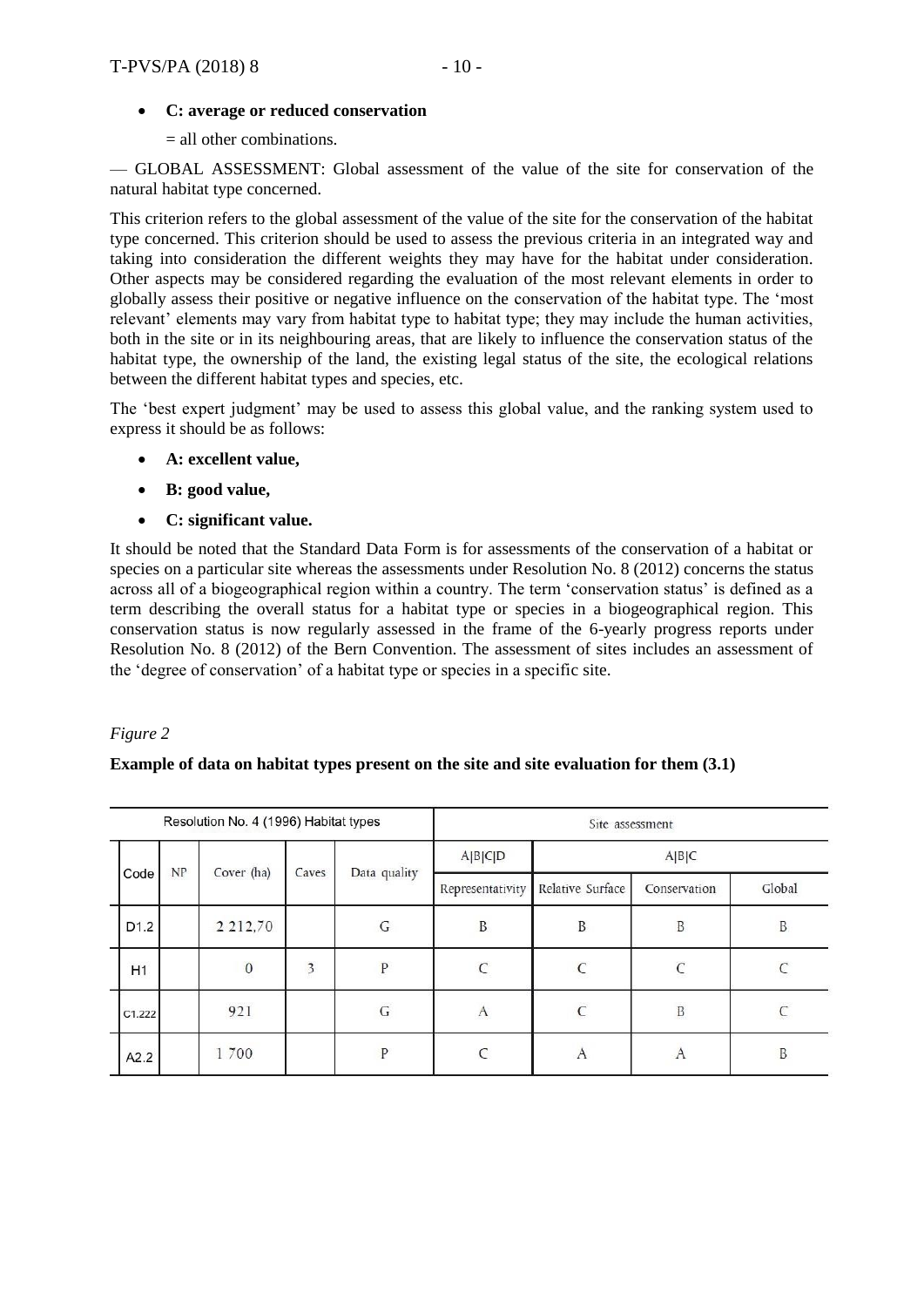## **C: average or reduced conservation**

= all other combinations.

— GLOBAL ASSESSMENT: Global assessment of the value of the site for conservation of the natural habitat type concerned.

This criterion refers to the global assessment of the value of the site for the conservation of the habitat type concerned. This criterion should be used to assess the previous criteria in an integrated way and taking into consideration the different weights they may have for the habitat under consideration. Other aspects may be considered regarding the evaluation of the most relevant elements in order to globally assess their positive or negative influence on the conservation of the habitat type. The 'most relevant' elements may vary from habitat type to habitat type; they may include the human activities, both in the site or in its neighbouring areas, that are likely to influence the conservation status of the habitat type, the ownership of the land, the existing legal status of the site, the ecological relations between the different habitat types and species, etc.

The 'best expert judgment' may be used to assess this global value, and the ranking system used to express it should be as follows:

- **A: excellent value,**
- **B: good value,**
- **C: significant value.**

It should be noted that the Standard Data Form is for assessments of the conservation of a habitat or species on a particular site whereas the assessments under Resolution No. 8 (2012) concerns the status across all of a biogeographical region within a country. The term 'conservation status' is defined as a term describing the overall status for a habitat type or species in a biogeographical region. This conservation status is now regularly assessed in the frame of the 6-yearly progress reports under Resolution No. 8 (2012) of the Bern Convention. The assessment of sites includes an assessment of the 'degree of conservation' of a habitat type or species in a specific site.

#### *Figure 2*

#### **Example of data on habitat types present on the site and site evaluation for them (3.1)**

|      |                  |    | Resolution No. 4 (1996) Habitat types |       |               | Site assessment  |                  |              |              |  |  |  |  |
|------|------------------|----|---------------------------------------|-------|---------------|------------------|------------------|--------------|--------------|--|--|--|--|
| Code |                  |    |                                       |       |               | A B C D          | A B C            |              |              |  |  |  |  |
|      |                  | NP | Cover (ha)                            | Caves | Data quality  | Representativity | Relative Surface | Conservation | Global       |  |  |  |  |
|      | D <sub>1.2</sub> |    | 2 2 1 2 , 7 0                         |       | G             | B                | B                | B            | B            |  |  |  |  |
|      | H1               |    | $\boldsymbol{0}$                      | 3     | P             | $\mathcal{C}$    | $\sqrt{ }$       | $\Gamma$     |              |  |  |  |  |
|      | C1.222           |    | 921                                   |       | ${\mathsf G}$ | $\mathbf{A}$     | $\mathsf{C}$     | $\, {\bf B}$ | $\mathsf{C}$ |  |  |  |  |
|      | A2.2             |    | 1700                                  |       | P             | $\epsilon$       | A                | A            | B            |  |  |  |  |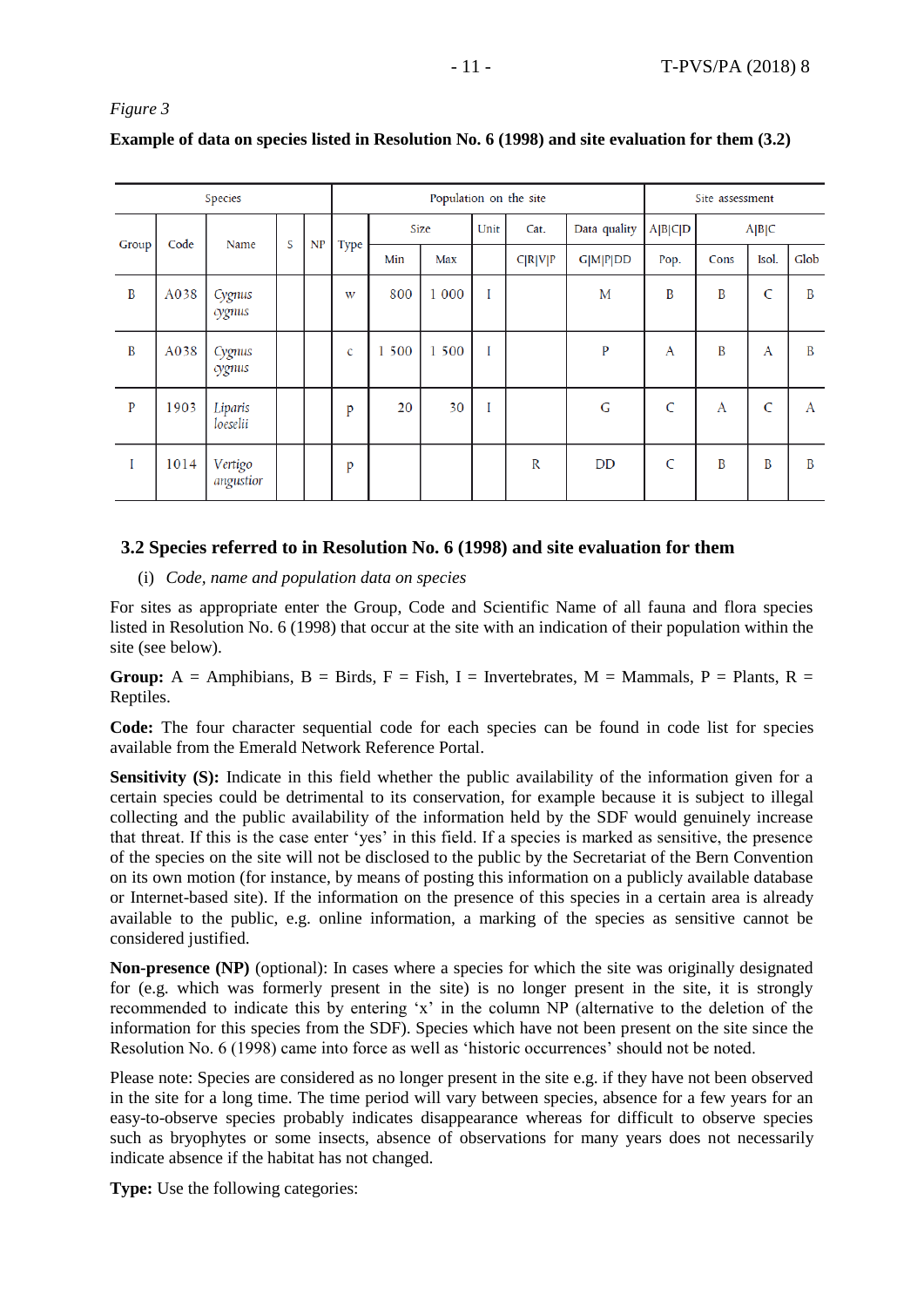*Figure 3* 

| Example of data on species listed in Resolution No. 6 (1998) and site evaluation for them (3.2) |  |  |  |
|-------------------------------------------------------------------------------------------------|--|--|--|
|                                                                                                 |  |  |  |

| Species      |      |                      |   |    |      |       | Site assessment |      |         |                 |              |      |       |      |
|--------------|------|----------------------|---|----|------|-------|-----------------|------|---------|-----------------|--------------|------|-------|------|
| Group        | Code | Name                 |   | NP |      |       | Size            | Unit | Cat.    | Data quality    | A B C D      |      | A B C |      |
|              |      |                      | S |    | Type | Min   | Max             |      | C R V P | <b>G M P DD</b> | Pop.         | Cons | Isol. | Glob |
| B            | A038 | Cygnus<br>cygnus     |   |    | W    | 800   | 1 000           | I    |         | M               | B            | B    | C     | B    |
| B            | A038 | Cygnus<br>cygnus     |   |    | c    | 1 500 | 1 500           | I    |         | P               | A            | B    | A     | B    |
| $\mathbf{P}$ | 1903 | Liparis<br>loeselii  |   |    | p    | 20    | 30              | I    |         | G               | C            | A    | C     | A    |
| I            | 1014 | Vertigo<br>angustior |   |    | p    |       |                 |      | R       | DD              | $\mathsf{C}$ | B    | B     | B    |

## <span id="page-10-0"></span>**3.2 Species referred to in Resolution No. 6 (1998) and site evaluation for them**

(i) *Code, name and population data on species* 

For sites as appropriate enter the Group, Code and Scientific Name of all fauna and flora species listed in Resolution No. 6 (1998) that occur at the site with an indication of their population within the site (see below).

**Group:** A = Amphibians, B = Birds, F = Fish, I = Invertebrates, M = Mammals, P = Plants, R = Reptiles.

**Code:** The four character sequential code for each species can be found in code list for species available from the Emerald Network Reference Portal.

**Sensitivity (S):** Indicate in this field whether the public availability of the information given for a certain species could be detrimental to its conservation, for example because it is subject to illegal collecting and the public availability of the information held by the SDF would genuinely increase that threat. If this is the case enter 'yes' in this field. If a species is marked as sensitive, the presence of the species on the site will not be disclosed to the public by the Secretariat of the Bern Convention on its own motion (for instance, by means of posting this information on a publicly available database or Internet-based site). If the information on the presence of this species in a certain area is already available to the public, e.g. online information, a marking of the species as sensitive cannot be considered justified.

**Non-presence (NP)** (optional): In cases where a species for which the site was originally designated for (e.g. which was formerly present in the site) is no longer present in the site, it is strongly recommended to indicate this by entering 'x' in the column NP (alternative to the deletion of the information for this species from the SDF). Species which have not been present on the site since the Resolution No. 6 (1998) came into force as well as 'historic occurrences' should not be noted.

Please note: Species are considered as no longer present in the site e.g. if they have not been observed in the site for a long time. The time period will vary between species, absence for a few years for an easy-to-observe species probably indicates disappearance whereas for difficult to observe species such as bryophytes or some insects, absence of observations for many years does not necessarily indicate absence if the habitat has not changed.

**Type:** Use the following categories: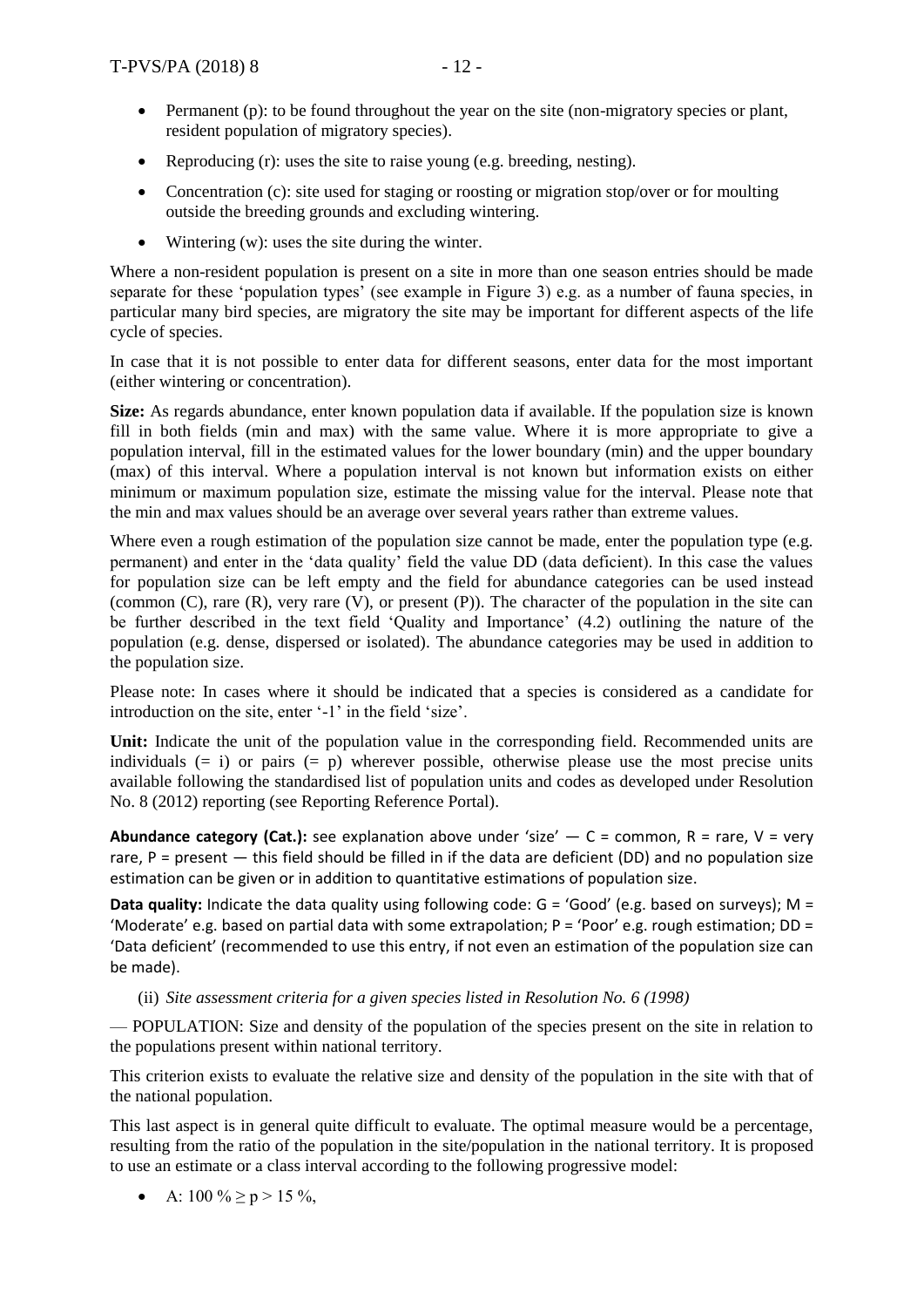- Permanent (p): to be found throughout the year on the site (non-migratory species or plant, resident population of migratory species).
- Reproducing (r): uses the site to raise young (e.g. breeding, nesting).
- Concentration (c): site used for staging or roosting or migration stop/over or for moulting outside the breeding grounds and excluding wintering.
- Wintering (w): uses the site during the winter.

Where a non-resident population is present on a site in more than one season entries should be made separate for these 'population types' (see example in Figure 3) e.g. as a number of fauna species, in particular many bird species, are migratory the site may be important for different aspects of the life cycle of species.

In case that it is not possible to enter data for different seasons, enter data for the most important (either wintering or concentration).

**Size:** As regards abundance, enter known population data if available. If the population size is known fill in both fields (min and max) with the same value. Where it is more appropriate to give a population interval, fill in the estimated values for the lower boundary (min) and the upper boundary (max) of this interval. Where a population interval is not known but information exists on either minimum or maximum population size, estimate the missing value for the interval. Please note that the min and max values should be an average over several years rather than extreme values.

Where even a rough estimation of the population size cannot be made, enter the population type (e.g. permanent) and enter in the 'data quality' field the value DD (data deficient). In this case the values for population size can be left empty and the field for abundance categories can be used instead (common (C), rare (R), very rare (V), or present (P)). The character of the population in the site can be further described in the text field 'Quality and Importance' (4.2) outlining the nature of the population (e.g. dense, dispersed or isolated). The abundance categories may be used in addition to the population size.

Please note: In cases where it should be indicated that a species is considered as a candidate for introduction on the site, enter '-1' in the field 'size'.

**Unit:** Indicate the unit of the population value in the corresponding field. Recommended units are individuals  $(= i)$  or pairs  $(= p)$  wherever possible, otherwise please use the most precise units available following the standardised list of population units and codes as developed under Resolution No. 8 (2012) reporting (see Reporting Reference Portal).

**Abundance category (Cat.):** see explanation above under 'size'  $- C =$  common, R = rare, V = very rare,  $P =$  present  $-$  this field should be filled in if the data are deficient (DD) and no population size estimation can be given or in addition to quantitative estimations of population size.

**Data quality:** Indicate the data quality using following code: G = 'Good' (e.g. based on surveys); M = 'Moderate' e.g. based on partial data with some extrapolation; P = 'Poor' e.g. rough estimation; DD = 'Data deficient' (recommended to use this entry, if not even an estimation of the population size can be made).

#### (ii) *Site assessment criteria for a given species listed in Resolution No. 6 (1998)*

— POPULATION: Size and density of the population of the species present on the site in relation to the populations present within national territory.

This criterion exists to evaluate the relative size and density of the population in the site with that of the national population.

This last aspect is in general quite difficult to evaluate. The optimal measure would be a percentage, resulting from the ratio of the population in the site/population in the national territory. It is proposed to use an estimate or a class interval according to the following progressive model:

• A:  $100 \% \ge p > 15 \%$ ,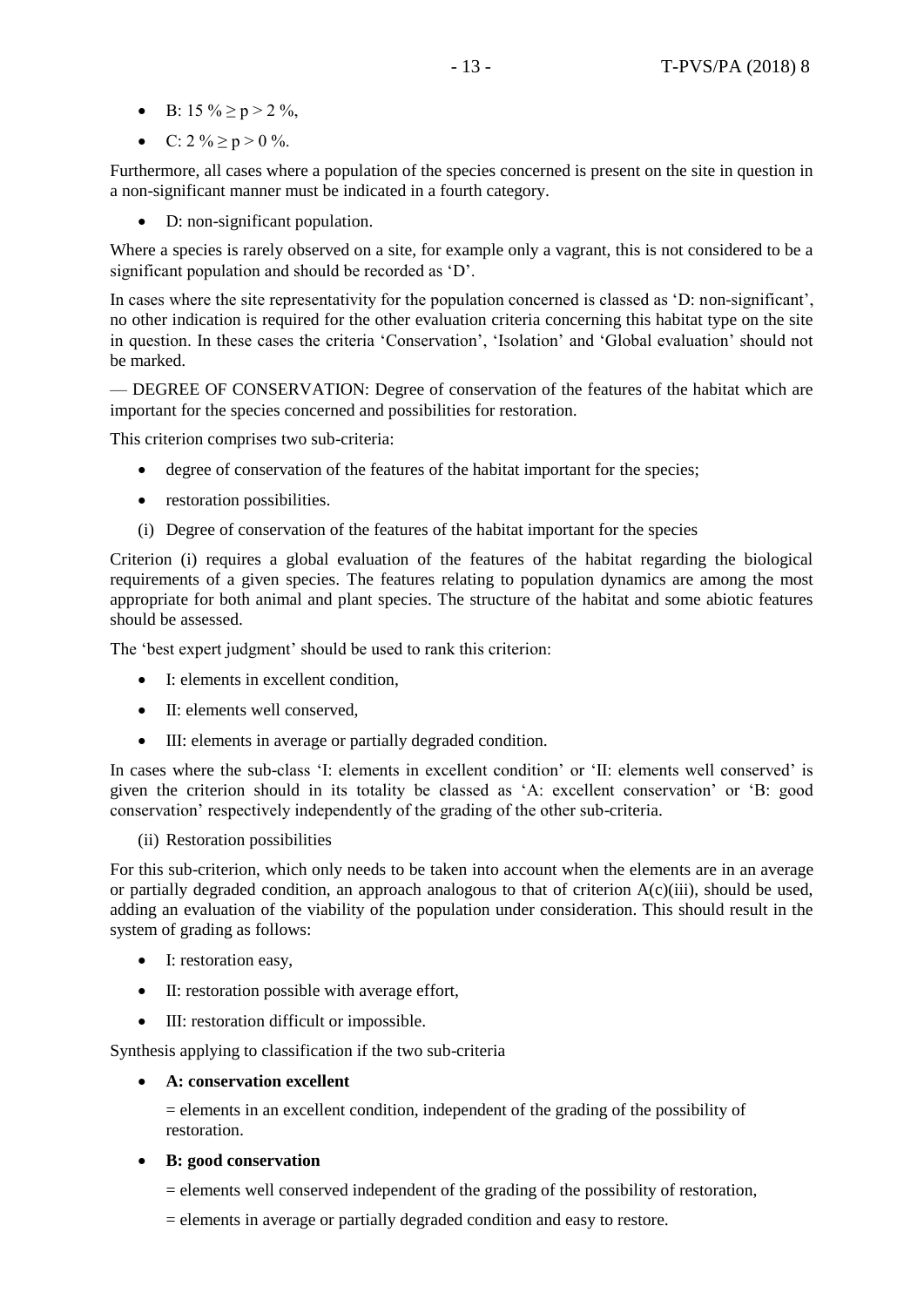- B:  $15\% \ge p > 2\%$ ,
- C:  $2\% \ge p > 0\%$ .

Furthermore, all cases where a population of the species concerned is present on the site in question in a non-significant manner must be indicated in a fourth category.

D: non-significant population.

Where a species is rarely observed on a site, for example only a vagrant, this is not considered to be a significant population and should be recorded as 'D'.

In cases where the site representativity for the population concerned is classed as 'D: non-significant', no other indication is required for the other evaluation criteria concerning this habitat type on the site in question. In these cases the criteria 'Conservation', 'Isolation' and 'Global evaluation' should not be marked.

— DEGREE OF CONSERVATION: Degree of conservation of the features of the habitat which are important for the species concerned and possibilities for restoration.

This criterion comprises two sub-criteria:

- degree of conservation of the features of the habitat important for the species;
- restoration possibilities.
- (i) Degree of conservation of the features of the habitat important for the species

Criterion (i) requires a global evaluation of the features of the habitat regarding the biological requirements of a given species. The features relating to population dynamics are among the most appropriate for both animal and plant species. The structure of the habitat and some abiotic features should be assessed.

The 'best expert judgment' should be used to rank this criterion:

- I: elements in excellent condition.
- II: elements well conserved.
- III: elements in average or partially degraded condition.

In cases where the sub-class 'I: elements in excellent condition' or 'II: elements well conserved' is given the criterion should in its totality be classed as 'A: excellent conservation' or 'B: good conservation' respectively independently of the grading of the other sub-criteria.

(ii) Restoration possibilities

For this sub-criterion, which only needs to be taken into account when the elements are in an average or partially degraded condition, an approach analogous to that of criterion  $A(c)(iii)$ , should be used, adding an evaluation of the viability of the population under consideration. This should result in the system of grading as follows:

- I: restoration easy,
- II: restoration possible with average effort,
- III: restoration difficult or impossible.

Synthesis applying to classification if the two sub-criteria

#### **A: conservation excellent**

= elements in an excellent condition, independent of the grading of the possibility of restoration.

**B: good conservation** 

 $=$  elements well conserved independent of the grading of the possibility of restoration,

= elements in average or partially degraded condition and easy to restore.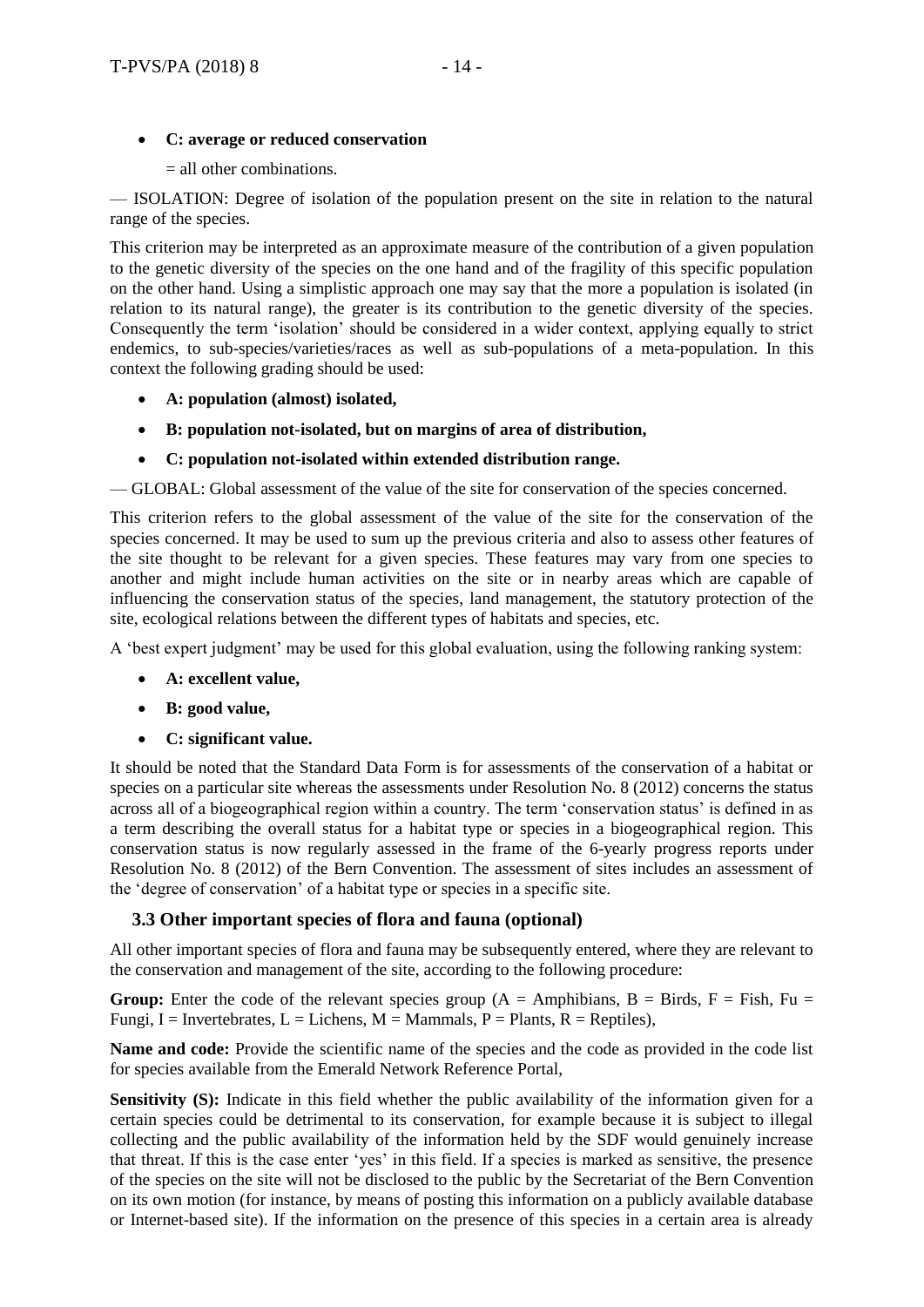# **C: average or reduced conservation**

= all other combinations.

— ISOLATION: Degree of isolation of the population present on the site in relation to the natural range of the species.

This criterion may be interpreted as an approximate measure of the contribution of a given population to the genetic diversity of the species on the one hand and of the fragility of this specific population on the other hand. Using a simplistic approach one may say that the more a population is isolated (in relation to its natural range), the greater is its contribution to the genetic diversity of the species. Consequently the term 'isolation' should be considered in a wider context, applying equally to strict endemics, to sub-species/varieties/races as well as sub-populations of a meta-population. In this context the following grading should be used:

- **A: population (almost) isolated,**
- **B: population not-isolated, but on margins of area of distribution,**
- **C: population not-isolated within extended distribution range.**

— GLOBAL: Global assessment of the value of the site for conservation of the species concerned.

This criterion refers to the global assessment of the value of the site for the conservation of the species concerned. It may be used to sum up the previous criteria and also to assess other features of the site thought to be relevant for a given species. These features may vary from one species to another and might include human activities on the site or in nearby areas which are capable of influencing the conservation status of the species, land management, the statutory protection of the site, ecological relations between the different types of habitats and species, etc.

A 'best expert judgment' may be used for this global evaluation, using the following ranking system:

- **A: excellent value,**
- **B: good value,**
- **C: significant value.**

It should be noted that the Standard Data Form is for assessments of the conservation of a habitat or species on a particular site whereas the assessments under Resolution No. 8 (2012) concerns the status across all of a biogeographical region within a country. The term 'conservation status' is defined in as a term describing the overall status for a habitat type or species in a biogeographical region. This conservation status is now regularly assessed in the frame of the 6-yearly progress reports under Resolution No. 8 (2012) of the Bern Convention. The assessment of sites includes an assessment of the 'degree of conservation' of a habitat type or species in a specific site.

# <span id="page-13-0"></span>**3.3 Other important species of flora and fauna (optional)**

All other important species of flora and fauna may be subsequently entered, where they are relevant to the conservation and management of the site, according to the following procedure:

**Group:** Enter the code of the relevant species group ( $A =$  Amphibians,  $B =$  Birds,  $F =$  Fish, Fu = Fungi, I = Invertebrates, L = Lichens, M = Mammals, P = Plants, R = Reptiles),

**Name and code:** Provide the scientific name of the species and the code as provided in the code list for species available from the Emerald Network Reference Portal,

**Sensitivity (S):** Indicate in this field whether the public availability of the information given for a certain species could be detrimental to its conservation, for example because it is subject to illegal collecting and the public availability of the information held by the SDF would genuinely increase that threat. If this is the case enter 'yes' in this field. If a species is marked as sensitive, the presence of the species on the site will not be disclosed to the public by the Secretariat of the Bern Convention on its own motion (for instance, by means of posting this information on a publicly available database or Internet-based site). If the information on the presence of this species in a certain area is already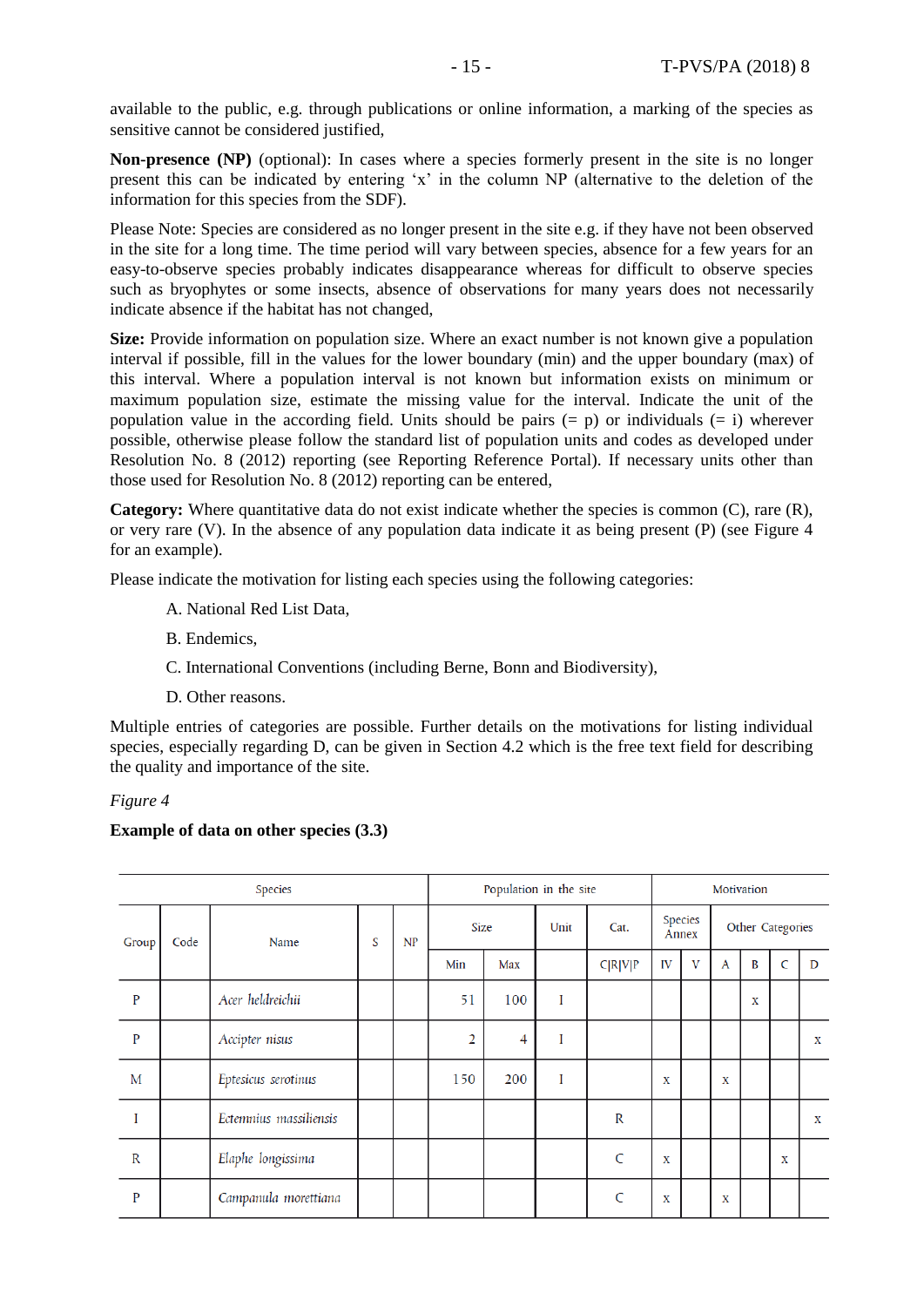available to the public, e.g. through publications or online information, a marking of the species as sensitive cannot be considered justified,

**Non-presence (NP)** (optional): In cases where a species formerly present in the site is no longer present this can be indicated by entering 'x' in the column NP (alternative to the deletion of the information for this species from the SDF).

Please Note: Species are considered as no longer present in the site e.g. if they have not been observed in the site for a long time. The time period will vary between species, absence for a few years for an easy-to-observe species probably indicates disappearance whereas for difficult to observe species such as bryophytes or some insects, absence of observations for many years does not necessarily indicate absence if the habitat has not changed,

**Size:** Provide information on population size. Where an exact number is not known give a population interval if possible, fill in the values for the lower boundary (min) and the upper boundary (max) of this interval. Where a population interval is not known but information exists on minimum or maximum population size, estimate the missing value for the interval. Indicate the unit of the population value in the according field. Units should be pairs  $(= p)$  or individuals  $(= i)$  wherever possible, otherwise please follow the standard list of population units and codes as developed under Resolution No. 8 (2012) reporting (see Reporting Reference Portal). If necessary units other than those used for Resolution No. 8 (2012) reporting can be entered,

**Category:** Where quantitative data do not exist indicate whether the species is common (C), rare (R), or very rare (V). In the absence of any population data indicate it as being present (P) (see Figure 4 for an example).

Please indicate the motivation for listing each species using the following categories:

- A. National Red List Data,
- B. Endemics,
- C. International Conventions (including Berne, Bonn and Biodiversity),
- D. Other reasons.

Multiple entries of categories are possible. Further details on the motivations for listing individual species, especially regarding D, can be given in Section 4.2 which is the free text field for describing the quality and importance of the site.

#### *Figure 4*

#### **Example of data on other species (3.3)**

| <b>Species</b> |      |                        |   |    |      | Population in the site |      |              |                  |   | Motivation       |   |              |             |  |  |
|----------------|------|------------------------|---|----|------|------------------------|------|--------------|------------------|---|------------------|---|--------------|-------------|--|--|
| Group          | Code | Name                   | S | NP | Size |                        | Unit | Cat.         | Species<br>Annex |   | Other Categories |   |              |             |  |  |
|                |      |                        |   |    | Min  | Max                    |      | C R V P      | IV               | V | A                | B | $\mathsf{C}$ | D           |  |  |
| $\mathbf P$    |      | Acer heldreichii       |   |    | 51   | 100                    | I    |              |                  |   |                  | X |              |             |  |  |
| $\mathbf{P}$   |      | Accipter nisus         |   |    | 2    | $\overline{4}$         | I    |              |                  |   |                  |   |              | X           |  |  |
| M              |      | Eptesicus serotinus    |   |    | 150  | 200                    | I    |              | X                |   | X                |   |              |             |  |  |
|                |      | Ectemnius massiliensis |   |    |      |                        |      | $\mathbb R$  |                  |   |                  |   |              | $\mathbf x$ |  |  |
| $\mathbb{R}$   |      | Elaphe longissima      |   |    |      |                        |      | $\mathsf{C}$ | X                |   |                  |   | X            |             |  |  |
| P              |      | Campanula morettiana   |   |    |      |                        |      | $\mathsf{C}$ | X                |   | X                |   |              |             |  |  |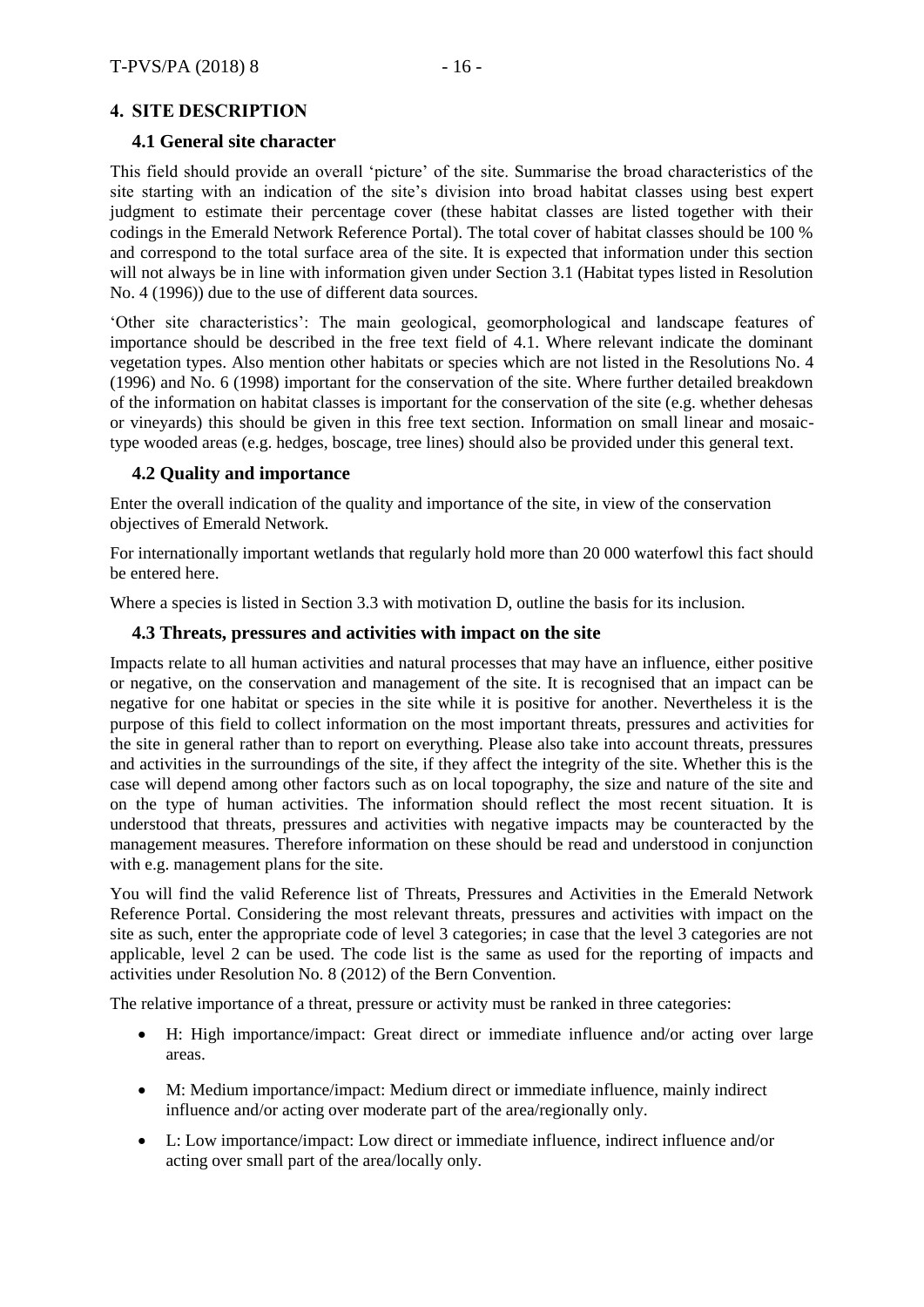# <span id="page-15-0"></span>**4. SITE DESCRIPTION**

# <span id="page-15-1"></span>**4.1 General site character**

This field should provide an overall 'picture' of the site. Summarise the broad characteristics of the site starting with an indication of the site's division into broad habitat classes using best expert judgment to estimate their percentage cover (these habitat classes are listed together with their codings in the Emerald Network Reference Portal). The total cover of habitat classes should be 100 % and correspond to the total surface area of the site. It is expected that information under this section will not always be in line with information given under Section 3.1 (Habitat types listed in Resolution No. 4 (1996)) due to the use of different data sources.

'Other site characteristics': The main geological, geomorphological and landscape features of importance should be described in the free text field of 4.1. Where relevant indicate the dominant vegetation types. Also mention other habitats or species which are not listed in the Resolutions No. 4 (1996) and No. 6 (1998) important for the conservation of the site. Where further detailed breakdown of the information on habitat classes is important for the conservation of the site (e.g. whether dehesas or vineyards) this should be given in this free text section. Information on small linear and mosaictype wooded areas (e.g. hedges, boscage, tree lines) should also be provided under this general text.

# <span id="page-15-2"></span>**4.2 Quality and importance**

Enter the overall indication of the quality and importance of the site, in view of the conservation objectives of Emerald Network.

For internationally important wetlands that regularly hold more than 20 000 waterfowl this fact should be entered here.

Where a species is listed in Section 3.3 with motivation D, outline the basis for its inclusion.

## <span id="page-15-3"></span>**4.3 Threats, pressures and activities with impact on the site**

Impacts relate to all human activities and natural processes that may have an influence, either positive or negative, on the conservation and management of the site. It is recognised that an impact can be negative for one habitat or species in the site while it is positive for another. Nevertheless it is the purpose of this field to collect information on the most important threats, pressures and activities for the site in general rather than to report on everything. Please also take into account threats, pressures and activities in the surroundings of the site, if they affect the integrity of the site. Whether this is the case will depend among other factors such as on local topography, the size and nature of the site and on the type of human activities. The information should reflect the most recent situation. It is understood that threats, pressures and activities with negative impacts may be counteracted by the management measures. Therefore information on these should be read and understood in conjunction with e.g. management plans for the site.

You will find the valid Reference list of Threats, Pressures and Activities in the Emerald Network Reference Portal. Considering the most relevant threats, pressures and activities with impact on the site as such, enter the appropriate code of level 3 categories; in case that the level 3 categories are not applicable, level 2 can be used. The code list is the same as used for the reporting of impacts and activities under Resolution No. 8 (2012) of the Bern Convention.

The relative importance of a threat, pressure or activity must be ranked in three categories:

- H: High importance/impact: Great direct or immediate influence and/or acting over large areas.
- M: Medium importance/impact: Medium direct or immediate influence, mainly indirect influence and/or acting over moderate part of the area/regionally only.
- L: Low importance/impact: Low direct or immediate influence, indirect influence and/or acting over small part of the area/locally only.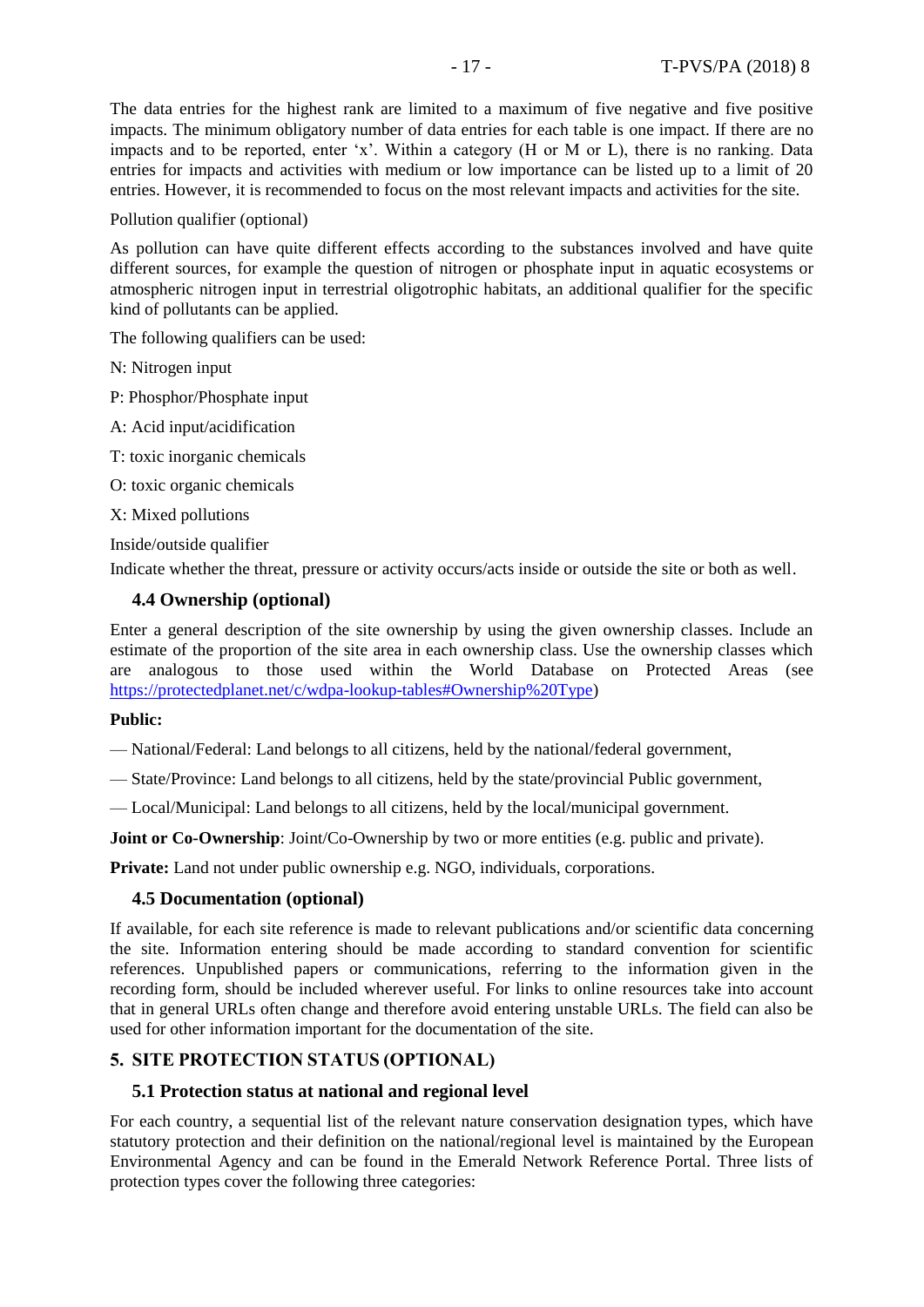The data entries for the highest rank are limited to a maximum of five negative and five positive impacts. The minimum obligatory number of data entries for each table is one impact. If there are no impacts and to be reported, enter 'x'. Within a category (H or M or L), there is no ranking. Data entries for impacts and activities with medium or low importance can be listed up to a limit of 20 entries. However, it is recommended to focus on the most relevant impacts and activities for the site.

Pollution qualifier (optional)

As pollution can have quite different effects according to the substances involved and have quite different sources, for example the question of nitrogen or phosphate input in aquatic ecosystems or atmospheric nitrogen input in terrestrial oligotrophic habitats, an additional qualifier for the specific kind of pollutants can be applied.

The following qualifiers can be used:

N: Nitrogen input

P: Phosphor/Phosphate input

A: Acid input/acidification

T: toxic inorganic chemicals

O: toxic organic chemicals

X: Mixed pollutions

Inside/outside qualifier

Indicate whether the threat, pressure or activity occurs/acts inside or outside the site or both as well.

#### <span id="page-16-0"></span>**4.4 Ownership (optional)**

Enter a general description of the site ownership by using the given ownership classes. Include an estimate of the proportion of the site area in each ownership class. Use the ownership classes which are analogous to those used within the World Database on Protected Areas (see [https://protectedplanet.net/c/wdpa-lookup-tables#Ownership%20Type\)](https://protectedplanet.net/c/wdpa-lookup-tables#Ownership%20Type)

## **Public:**

— National/Federal: Land belongs to all citizens, held by the national/federal government,

— State/Province: Land belongs to all citizens, held by the state/provincial Public government,

— Local/Municipal: Land belongs to all citizens, held by the local/municipal government.

**Joint or Co-Ownership**: Joint/Co-Ownership by two or more entities (e.g. public and private).

**Private:** Land not under public ownership e.g. NGO, individuals, corporations.

#### <span id="page-16-1"></span>**4.5 Documentation (optional)**

If available, for each site reference is made to relevant publications and/or scientific data concerning the site. Information entering should be made according to standard convention for scientific references. Unpublished papers or communications, referring to the information given in the recording form, should be included wherever useful. For links to online resources take into account that in general URLs often change and therefore avoid entering unstable URLs. The field can also be used for other information important for the documentation of the site.

## <span id="page-16-2"></span>**5. SITE PROTECTION STATUS (OPTIONAL)**

#### <span id="page-16-3"></span>**5.1 Protection status at national and regional level**

For each country, a sequential list of the relevant nature conservation designation types, which have statutory protection and their definition on the national/regional level is maintained by the European Environmental Agency and can be found in the Emerald Network Reference Portal. Three lists of protection types cover the following three categories: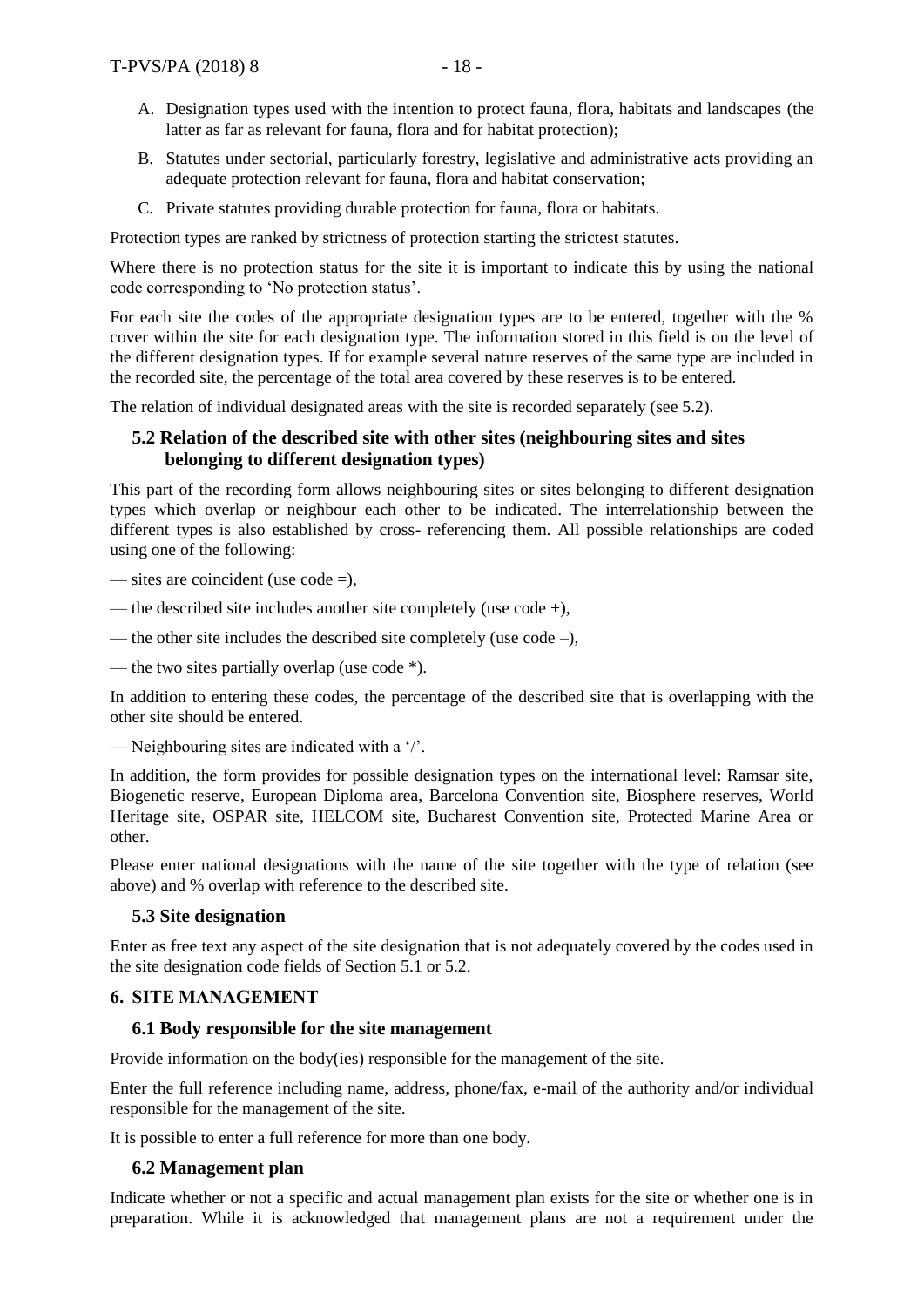- A. Designation types used with the intention to protect fauna, flora, habitats and landscapes (the latter as far as relevant for fauna, flora and for habitat protection);
- B. Statutes under sectorial, particularly forestry, legislative and administrative acts providing an adequate protection relevant for fauna, flora and habitat conservation;
- C. Private statutes providing durable protection for fauna, flora or habitats.

Protection types are ranked by strictness of protection starting the strictest statutes.

Where there is no protection status for the site it is important to indicate this by using the national code corresponding to 'No protection status'.

For each site the codes of the appropriate designation types are to be entered, together with the % cover within the site for each designation type. The information stored in this field is on the level of the different designation types. If for example several nature reserves of the same type are included in the recorded site, the percentage of the total area covered by these reserves is to be entered.

The relation of individual designated areas with the site is recorded separately (see 5.2).

# <span id="page-17-0"></span>**5.2 Relation of the described site with other sites (neighbouring sites and sites belonging to different designation types)**

This part of the recording form allows neighbouring sites or sites belonging to different designation types which overlap or neighbour each other to be indicated. The interrelationship between the different types is also established by cross- referencing them. All possible relationships are coded using one of the following:

— sites are coincident (use code =),

- the described site includes another site completely (use code +),
- the other site includes the described site completely (use code –),
- the two sites partially overlap (use code \*).

In addition to entering these codes, the percentage of the described site that is overlapping with the other site should be entered.

— Neighbouring sites are indicated with a '/'.

In addition, the form provides for possible designation types on the international level: Ramsar site, Biogenetic reserve, European Diploma area, Barcelona Convention site, Biosphere reserves, World Heritage site, OSPAR site, HELCOM site, Bucharest Convention site, Protected Marine Area or other.

Please enter national designations with the name of the site together with the type of relation (see above) and % overlap with reference to the described site.

# <span id="page-17-1"></span>**5.3 Site designation**

Enter as free text any aspect of the site designation that is not adequately covered by the codes used in the site designation code fields of Section 5.1 or 5.2.

# <span id="page-17-2"></span>**6. SITE MANAGEMENT**

# <span id="page-17-3"></span>**6.1 Body responsible for the site management**

Provide information on the body(ies) responsible for the management of the site.

Enter the full reference including name, address, phone/fax, e-mail of the authority and/or individual responsible for the management of the site.

It is possible to enter a full reference for more than one body.

# <span id="page-17-4"></span>**6.2 Management plan**

Indicate whether or not a specific and actual management plan exists for the site or whether one is in preparation. While it is acknowledged that management plans are not a requirement under the